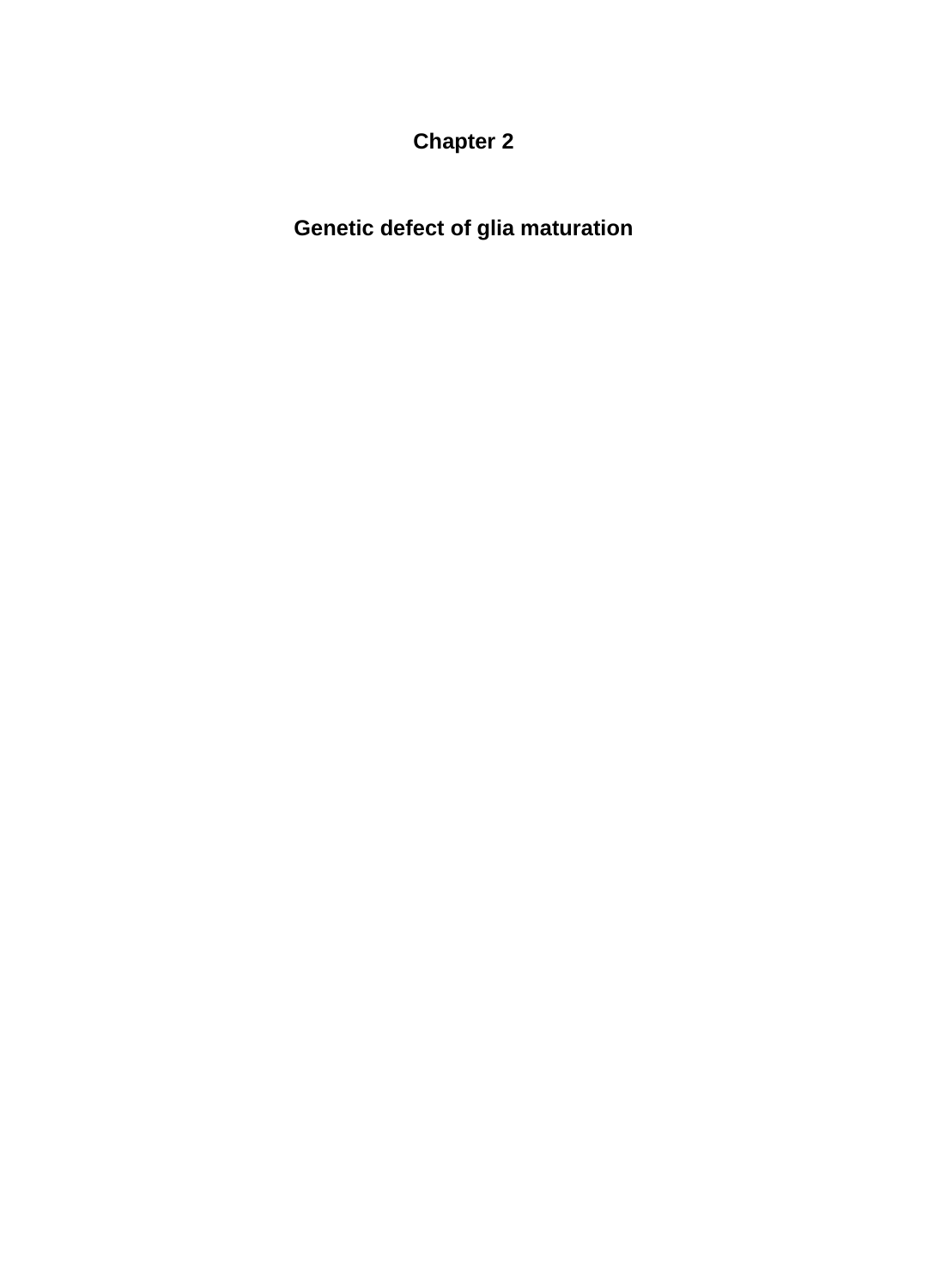**Chapter 2**

**Genetic defect of glia maturation**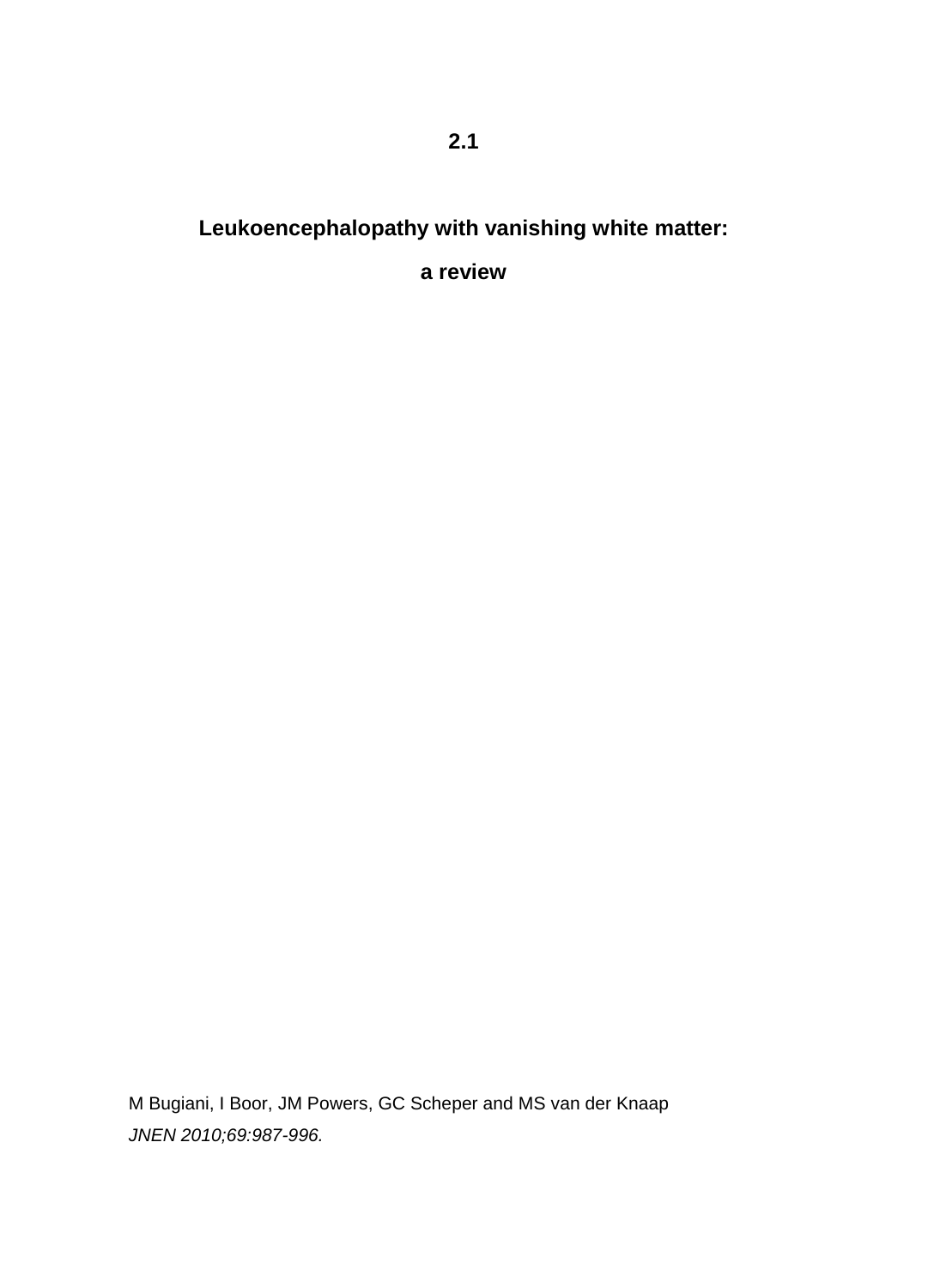# **Leukoencephalopathy with vanishing white matter:**

**a review**

M Bugiani, I Boor, JM Powers, GC Scheper and MS van der Knaap *JNEN 2010;69:987-996.*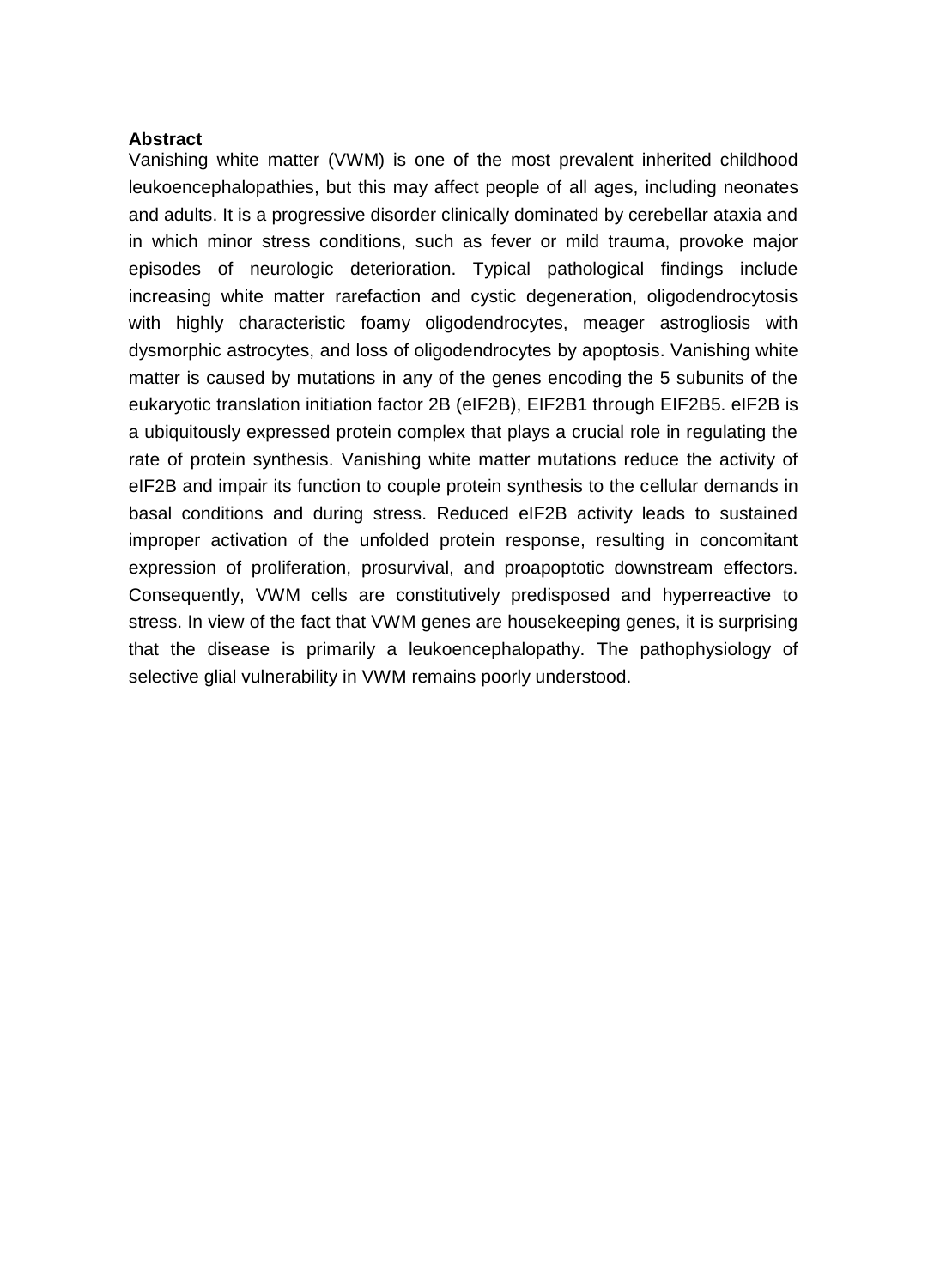#### **Abstract**

Vanishing white matter (VWM) is one of the most prevalent inherited childhood leukoencephalopathies, but this may affect people of all ages, including neonates and adults. It is a progressive disorder clinically dominated by cerebellar ataxia and in which minor stress conditions, such as fever or mild trauma, provoke major episodes of neurologic deterioration. Typical pathological findings include increasing white matter rarefaction and cystic degeneration, oligodendrocytosis with highly characteristic foamy oligodendrocytes, meager astrogliosis with dysmorphic astrocytes, and loss of oligodendrocytes by apoptosis. Vanishing white matter is caused by mutations in any of the genes encoding the 5 subunits of the eukaryotic translation initiation factor 2B (eIF2B), EIF2B1 through EIF2B5. eIF2B is a ubiquitously expressed protein complex that plays a crucial role in regulating the rate of protein synthesis. Vanishing white matter mutations reduce the activity of eIF2B and impair its function to couple protein synthesis to the cellular demands in basal conditions and during stress. Reduced eIF2B activity leads to sustained improper activation of the unfolded protein response, resulting in concomitant expression of proliferation, prosurvival, and proapoptotic downstream effectors. Consequently, VWM cells are constitutively predisposed and hyperreactive to stress. In view of the fact that VWM genes are housekeeping genes, it is surprising that the disease is primarily a leukoencephalopathy. The pathophysiology of selective glial vulnerability in VWM remains poorly understood.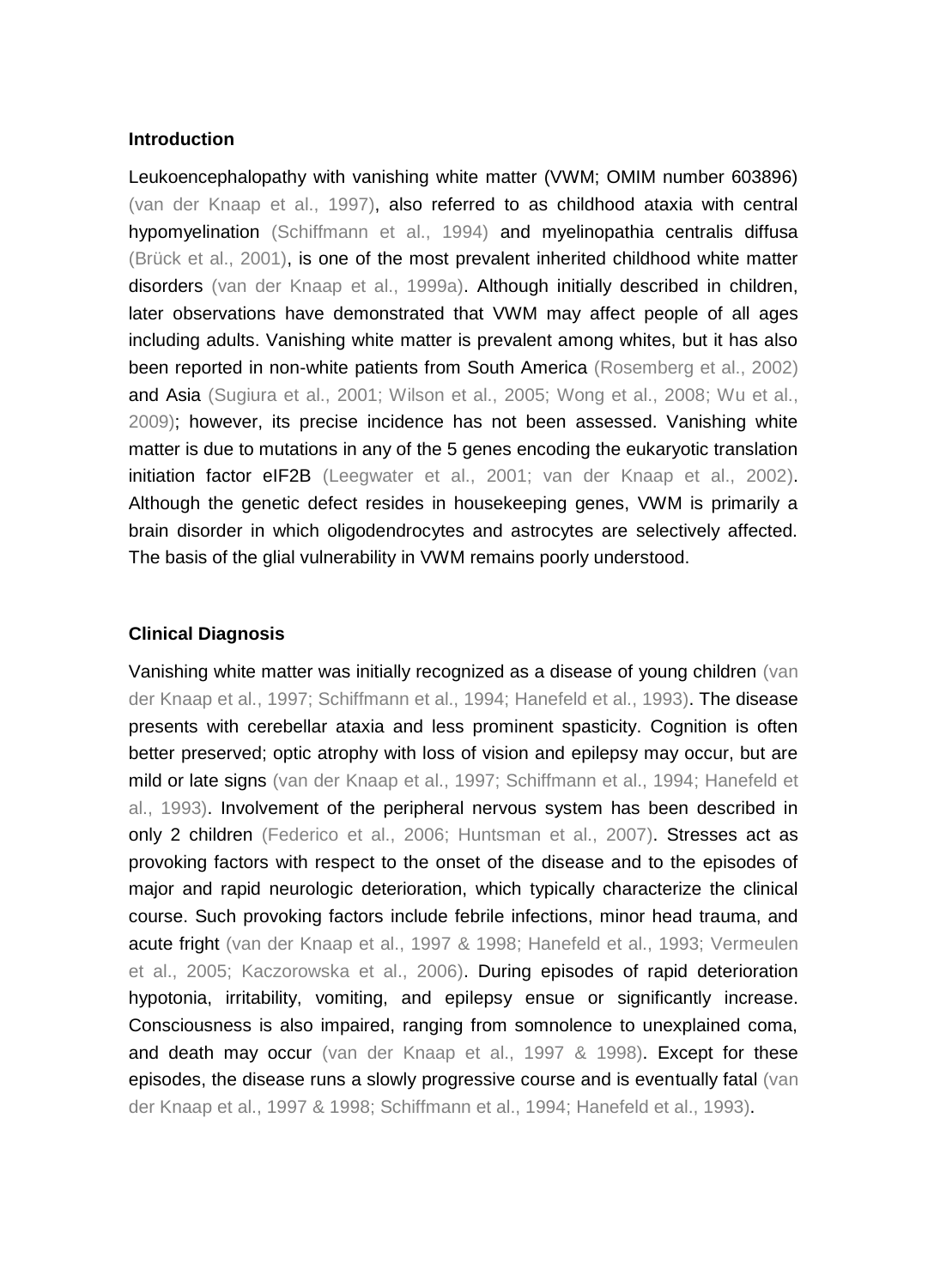## **Introduction**

Leukoencephalopathy with vanishing white matter (VWM; OMIM number 603896) (van der Knaap et al., 1997), also referred to as childhood ataxia with central hypomyelination (Schiffmann et al., 1994) and myelinopathia centralis diffusa (Brück et al., 2001), is one of the most prevalent inherited childhood white matter disorders (van der Knaap et al., 1999a). Although initially described in children, later observations have demonstrated that VWM may affect people of all ages including adults. Vanishing white matter is prevalent among whites, but it has also been reported in non-white patients from South America (Rosemberg et al., 2002) and Asia (Sugiura et al., 2001; Wilson et al., 2005; Wong et al., 2008; Wu et al., 2009); however, its precise incidence has not been assessed. Vanishing white matter is due to mutations in any of the 5 genes encoding the eukaryotic translation initiation factor eIF2B (Leegwater et al., 2001; van der Knaap et al., 2002). Although the genetic defect resides in housekeeping genes, VWM is primarily a brain disorder in which oligodendrocytes and astrocytes are selectively affected. The basis of the glial vulnerability in VWM remains poorly understood.

#### **Clinical Diagnosis**

Vanishing white matter was initially recognized as a disease of young children (van der Knaap et al., 1997; Schiffmann et al., 1994; Hanefeld et al., 1993). The disease presents with cerebellar ataxia and less prominent spasticity. Cognition is often better preserved; optic atrophy with loss of vision and epilepsy may occur, but are mild or late signs (van der Knaap et al., 1997; Schiffmann et al., 1994; Hanefeld et al., 1993). Involvement of the peripheral nervous system has been described in only 2 children (Federico et al., 2006; Huntsman et al., 2007). Stresses act as provoking factors with respect to the onset of the disease and to the episodes of major and rapid neurologic deterioration, which typically characterize the clinical course. Such provoking factors include febrile infections, minor head trauma, and acute fright (van der Knaap et al., 1997 & 1998; Hanefeld et al., 1993; Vermeulen et al., 2005; Kaczorowska et al., 2006). During episodes of rapid deterioration hypotonia, irritability, vomiting, and epilepsy ensue or significantly increase. Consciousness is also impaired, ranging from somnolence to unexplained coma, and death may occur (van der Knaap et al., 1997 & 1998). Except for these episodes, the disease runs a slowly progressive course and is eventually fatal (van der Knaap et al., 1997 & 1998; Schiffmann et al., 1994; Hanefeld et al., 1993).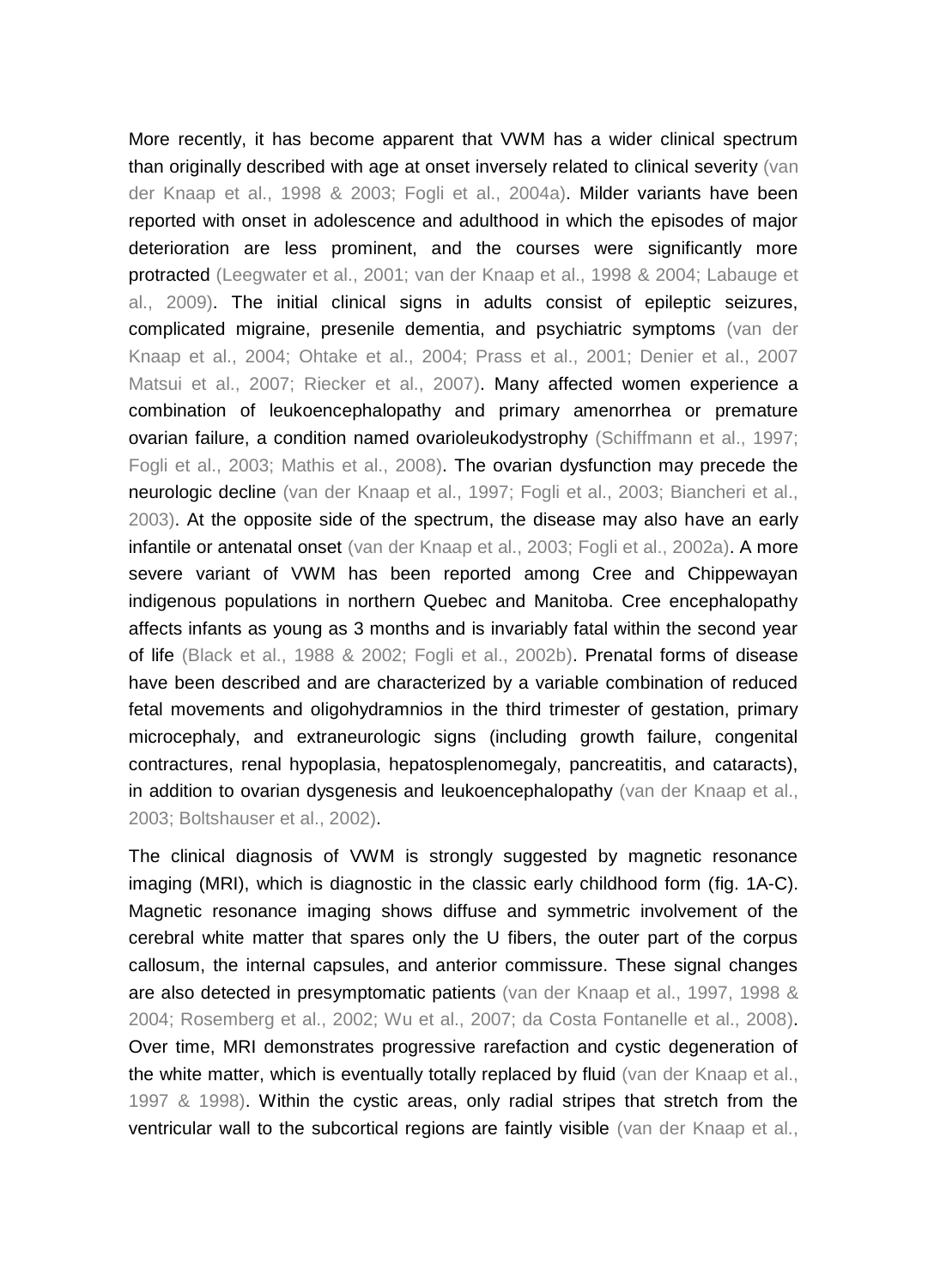More recently, it has become apparent that VWM has a wider clinical spectrum than originally described with age at onset inversely related to clinical severity (van der Knaap et al., 1998 & 2003; Fogli et al., 2004a). Milder variants have been reported with onset in adolescence and adulthood in which the episodes of major deterioration are less prominent, and the courses were significantly more protracted (Leegwater et al., 2001; van der Knaap et al., 1998 & 2004; Labauge et al., 2009). The initial clinical signs in adults consist of epileptic seizures, complicated migraine, presenile dementia, and psychiatric symptoms (van der Knaap et al., 2004; Ohtake et al., 2004; Prass et al., 2001; Denier et al., 2007 Matsui et al., 2007; Riecker et al., 2007). Many affected women experience a combination of leukoencephalopathy and primary amenorrhea or premature ovarian failure, a condition named ovarioleukodystrophy (Schiffmann et al., 1997; Fogli et al., 2003; Mathis et al., 2008). The ovarian dysfunction may precede the neurologic decline (van der Knaap et al., 1997; Fogli et al., 2003; Biancheri et al., 2003). At the opposite side of the spectrum, the disease may also have an early infantile or antenatal onset (van der Knaap et al., 2003; Fogli et al., 2002a). A more severe variant of VWM has been reported among Cree and Chippewayan indigenous populations in northern Quebec and Manitoba. Cree encephalopathy affects infants as young as 3 months and is invariably fatal within the second year of life (Black et al., 1988 & 2002; Fogli et al., 2002b). Prenatal forms of disease have been described and are characterized by a variable combination of reduced fetal movements and oligohydramnios in the third trimester of gestation, primary microcephaly, and extraneurologic signs (including growth failure, congenital contractures, renal hypoplasia, hepatosplenomegaly, pancreatitis, and cataracts), in addition to ovarian dysgenesis and leukoencephalopathy (van der Knaap et al., 2003; Boltshauser et al., 2002).

The clinical diagnosis of VWM is strongly suggested by magnetic resonance imaging (MRI), which is diagnostic in the classic early childhood form (fig. 1A-C). Magnetic resonance imaging shows diffuse and symmetric involvement of the cerebral white matter that spares only the U fibers, the outer part of the corpus callosum, the internal capsules, and anterior commissure. These signal changes are also detected in presymptomatic patients (van der Knaap et al., 1997, 1998 & 2004; Rosemberg et al., 2002; Wu et al., 2007; da Costa Fontanelle et al., 2008). Over time, MRI demonstrates progressive rarefaction and cystic degeneration of the white matter, which is eventually totally replaced by fluid (van der Knaap et al., 1997 & 1998). Within the cystic areas, only radial stripes that stretch from the ventricular wall to the subcortical regions are faintly visible (van der Knaap et al.,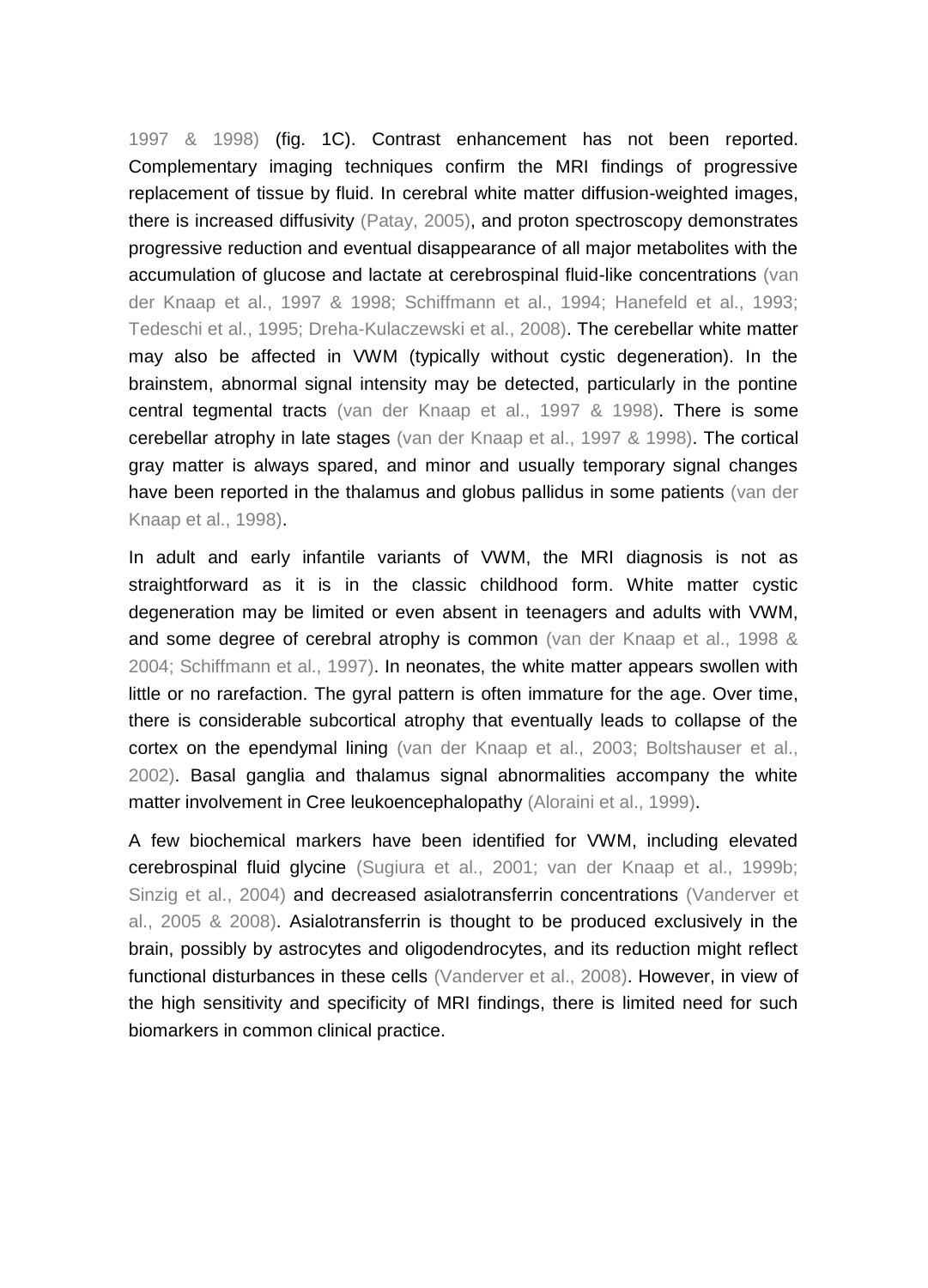1997 & 1998) (fig. 1C). Contrast enhancement has not been reported. Complementary imaging techniques confirm the MRI findings of progressive replacement of tissue by fluid. In cerebral white matter diffusion-weighted images, there is increased diffusivity (Patay, 2005), and proton spectroscopy demonstrates progressive reduction and eventual disappearance of all major metabolites with the accumulation of glucose and lactate at cerebrospinal fluid-like concentrations (van der Knaap et al., 1997 & 1998; Schiffmann et al., 1994; Hanefeld et al., 1993; Tedeschi et al., 1995; Dreha-Kulaczewski et al., 2008). The cerebellar white matter may also be affected in VWM (typically without cystic degeneration). In the brainstem, abnormal signal intensity may be detected, particularly in the pontine central tegmental tracts (van der Knaap et al., 1997 & 1998). There is some cerebellar atrophy in late stages (van der Knaap et al., 1997 & 1998). The cortical gray matter is always spared, and minor and usually temporary signal changes have been reported in the thalamus and globus pallidus in some patients (van der Knaap et al., 1998).

In adult and early infantile variants of VWM, the MRI diagnosis is not as straightforward as it is in the classic childhood form. White matter cystic degeneration may be limited or even absent in teenagers and adults with VWM, and some degree of cerebral atrophy is common (van der Knaap et al., 1998 & 2004; Schiffmann et al., 1997). In neonates, the white matter appears swollen with little or no rarefaction. The gyral pattern is often immature for the age. Over time, there is considerable subcortical atrophy that eventually leads to collapse of the cortex on the ependymal lining (van der Knaap et al., 2003; Boltshauser et al., 2002). Basal ganglia and thalamus signal abnormalities accompany the white matter involvement in Cree leukoencephalopathy (Aloraini et al., 1999).

A few biochemical markers have been identified for VWM, including elevated cerebrospinal fluid glycine (Sugiura et al., 2001; van der Knaap et al., 1999b; Sinzig et al., 2004) and decreased asialotransferrin concentrations (Vanderver et al., 2005 & 2008). Asialotransferrin is thought to be produced exclusively in the brain, possibly by astrocytes and oligodendrocytes, and its reduction might reflect functional disturbances in these cells (Vanderver et al., 2008). However, in view of the high sensitivity and specificity of MRI findings, there is limited need for such biomarkers in common clinical practice.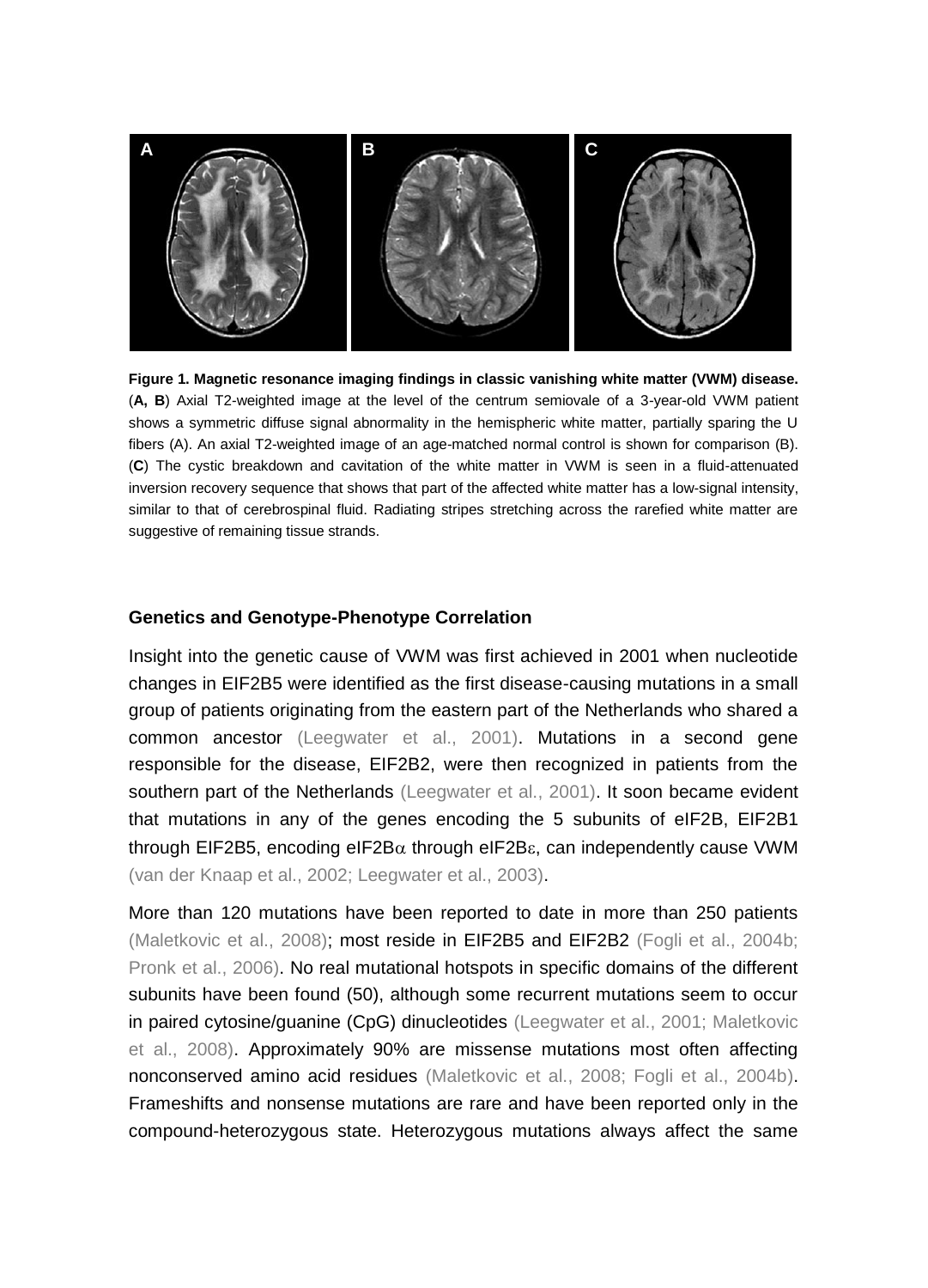

**Figure 1. Magnetic resonance imaging findings in classic vanishing white matter (VWM) disease.** (**A, B**) Axial T2-weighted image at the level of the centrum semiovale of a 3-year-old VWM patient shows a symmetric diffuse signal abnormality in the hemispheric white matter, partially sparing the U fibers (A). An axial T2-weighted image of an age-matched normal control is shown for comparison (B). (**C**) The cystic breakdown and cavitation of the white matter in VWM is seen in a fluid-attenuated inversion recovery sequence that shows that part of the affected white matter has a low-signal intensity, similar to that of cerebrospinal fluid. Radiating stripes stretching across the rarefied white matter are suggestive of remaining tissue strands.

#### **Genetics and Genotype-Phenotype Correlation**

Insight into the genetic cause of VWM was first achieved in 2001 when nucleotide changes in EIF2B5 were identified as the first disease-causing mutations in a small group of patients originating from the eastern part of the Netherlands who shared a common ancestor (Leegwater et al., 2001). Mutations in a second gene responsible for the disease, EIF2B2, were then recognized in patients from the southern part of the Netherlands (Leegwater et al., 2001). It soon became evident that mutations in any of the genes encoding the 5 subunits of eIF2B, EIF2B1 through EIF2B5, encoding eIF2B $\alpha$  through eIF2B $\epsilon$ , can independently cause VWM (van der Knaap et al., 2002; Leegwater et al., 2003).

More than 120 mutations have been reported to date in more than 250 patients (Maletkovic et al., 2008); most reside in EIF2B5 and EIF2B2 (Fogli et al., 2004b; Pronk et al., 2006). No real mutational hotspots in specific domains of the different subunits have been found (50), although some recurrent mutations seem to occur in paired cytosine/guanine (CpG) dinucleotides (Leegwater et al., 2001; Maletkovic et al., 2008). Approximately 90% are missense mutations most often affecting nonconserved amino acid residues (Maletkovic et al., 2008; Fogli et al., 2004b). Frameshifts and nonsense mutations are rare and have been reported only in the compound-heterozygous state. Heterozygous mutations always affect the same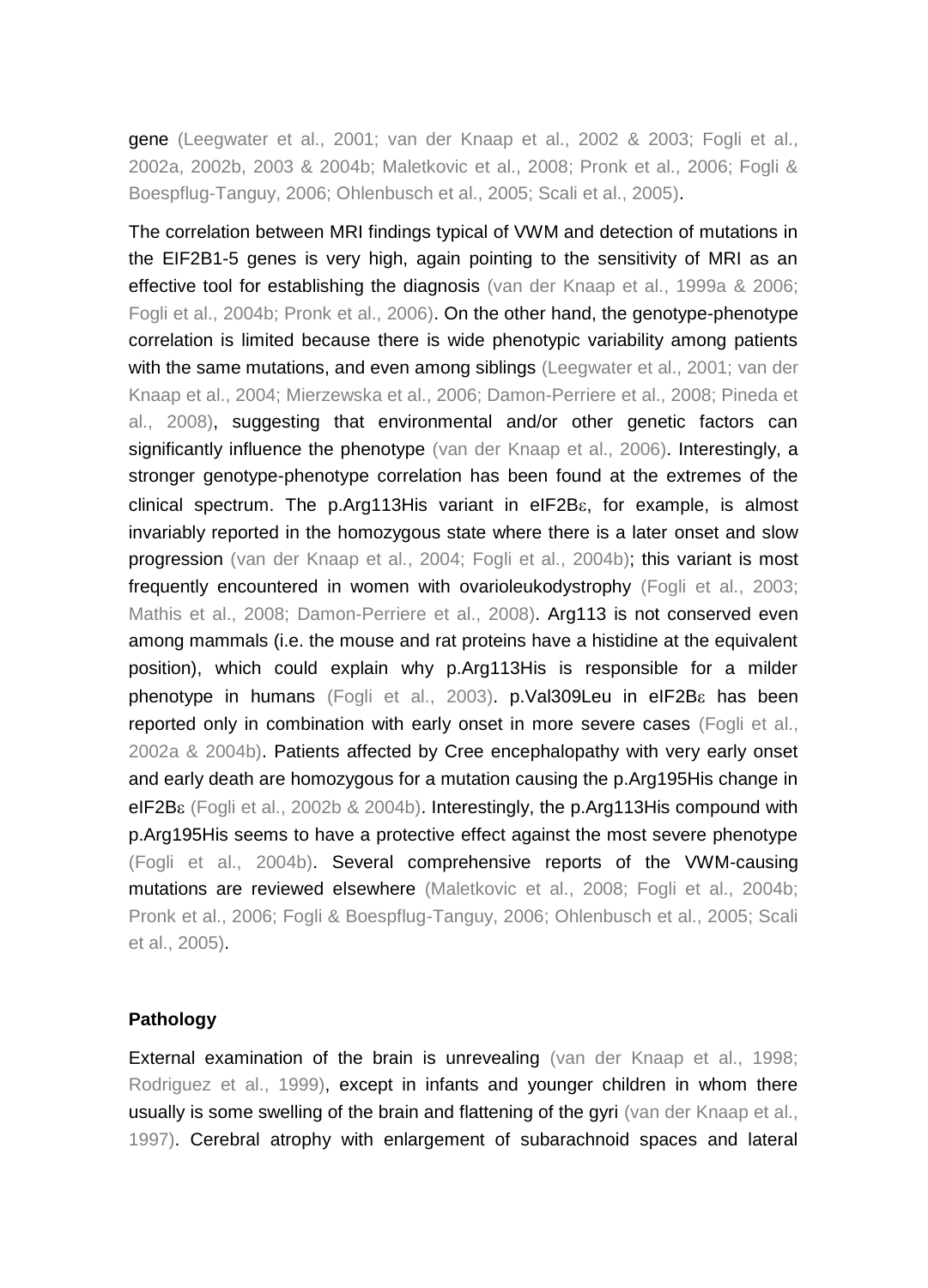gene (Leegwater et al., 2001; van der Knaap et al., 2002 & 2003; Fogli et al., 2002a, 2002b, 2003 & 2004b; Maletkovic et al., 2008; Pronk et al., 2006; Fogli & Boespflug-Tanguy, 2006; Ohlenbusch et al., 2005; Scali et al., 2005).

The correlation between MRI findings typical of VWM and detection of mutations in the EIF2B1-5 genes is very high, again pointing to the sensitivity of MRI as an effective tool for establishing the diagnosis (van der Knaap et al., 1999a & 2006; Fogli et al., 2004b; Pronk et al., 2006). On the other hand, the genotype-phenotype correlation is limited because there is wide phenotypic variability among patients with the same mutations, and even among siblings (Leegwater et al., 2001; van der Knaap et al., 2004; Mierzewska et al., 2006; Damon-Perriere et al., 2008; Pineda et al., 2008), suggesting that environmental and/or other genetic factors can significantly influence the phenotype (van der Knaap et al., 2006). Interestingly, a stronger genotype-phenotype correlation has been found at the extremes of the clinical spectrum. The p.Arg113His variant in  $e$ IF2B $\varepsilon$ , for example, is almost invariably reported in the homozygous state where there is a later onset and slow progression (van der Knaap et al., 2004; Fogli et al., 2004b); this variant is most frequently encountered in women with ovarioleukodystrophy (Fogli et al., 2003; Mathis et al., 2008; Damon-Perriere et al., 2008). Arg113 is not conserved even among mammals (i.e. the mouse and rat proteins have a histidine at the equivalent position), which could explain why p.Arg113His is responsible for a milder phenotype in humans (Fogli et al., 2003). p.Val309Leu in eIF2B has been reported only in combination with early onset in more severe cases (Fogli et al., 2002a & 2004b). Patients affected by Cree encephalopathy with very early onset and early death are homozygous for a mutation causing the p.Arg195His change in eIF2B $\epsilon$  (Fogli et al., 2002b & 2004b). Interestingly, the p.Arg113His compound with p.Arg195His seems to have a protective effect against the most severe phenotype (Fogli et al., 2004b). Several comprehensive reports of the VWM-causing mutations are reviewed elsewhere (Maletkovic et al., 2008; Fogli et al., 2004b; Pronk et al., 2006; Fogli & Boespflug-Tanguy, 2006; Ohlenbusch et al., 2005; Scali et al., 2005).

# **Pathology**

External examination of the brain is unrevealing (van der Knaap et al., 1998; Rodriguez et al., 1999), except in infants and younger children in whom there usually is some swelling of the brain and flattening of the gyri (van der Knaap et al., 1997). Cerebral atrophy with enlargement of subarachnoid spaces and lateral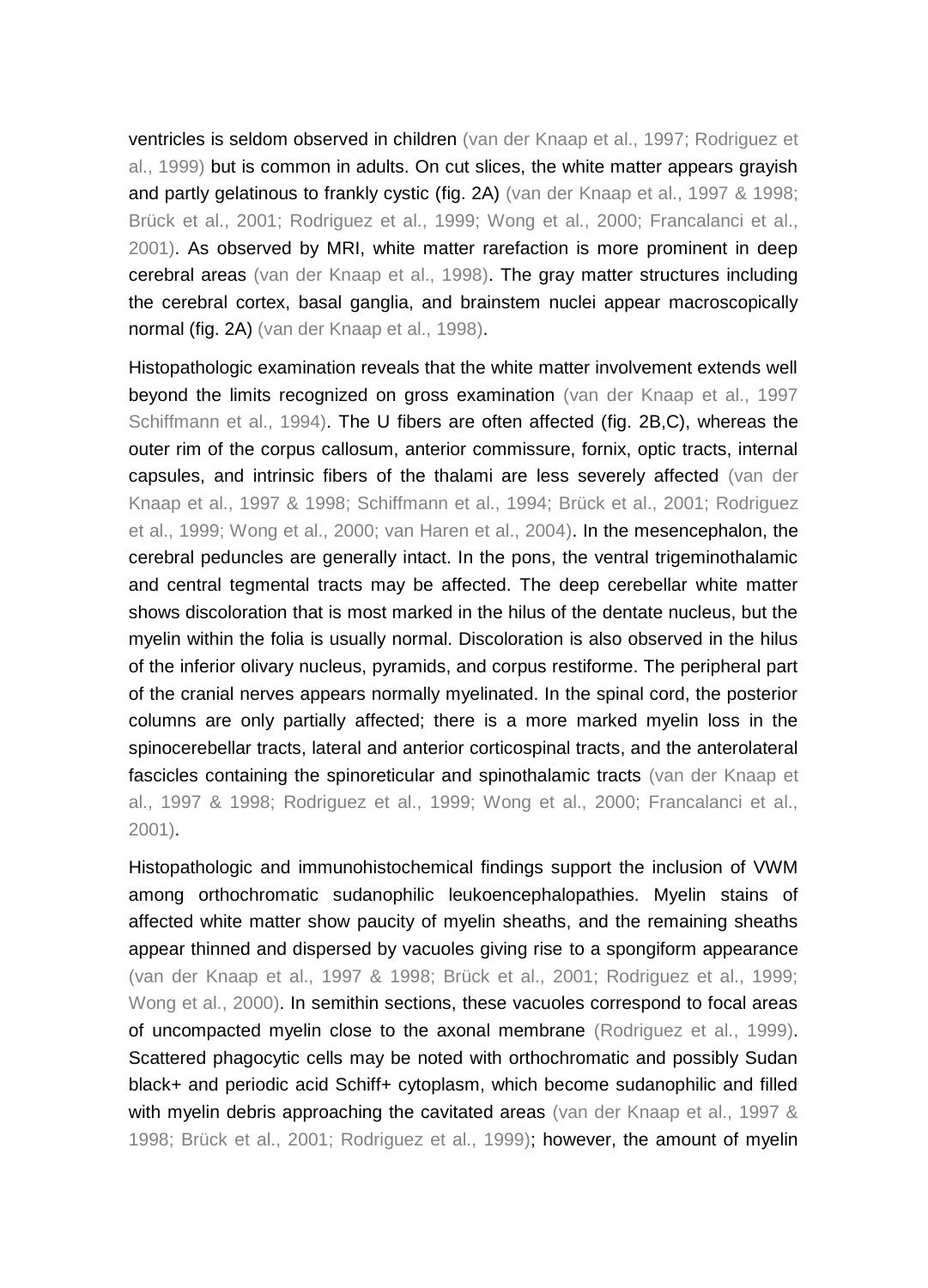ventricles is seldom observed in children (van der Knaap et al., 1997; Rodriguez et al., 1999) but is common in adults. On cut slices, the white matter appears grayish and partly gelatinous to frankly cystic (fig. 2A) (van der Knaap et al., 1997 & 1998; Brück et al., 2001; Rodriguez et al., 1999; Wong et al., 2000; Francalanci et al., 2001). As observed by MRI, white matter rarefaction is more prominent in deep cerebral areas (van der Knaap et al., 1998). The gray matter structures including the cerebral cortex, basal ganglia, and brainstem nuclei appear macroscopically normal (fig. 2A) (van der Knaap et al., 1998).

Histopathologic examination reveals that the white matter involvement extends well beyond the limits recognized on gross examination (van der Knaap et al., 1997 Schiffmann et al., 1994). The U fibers are often affected (fig. 2B,C), whereas the outer rim of the corpus callosum, anterior commissure, fornix, optic tracts, internal capsules, and intrinsic fibers of the thalami are less severely affected (van der Knaap et al., 1997 & 1998; Schiffmann et al., 1994; Brück et al., 2001; Rodriguez et al., 1999; Wong et al., 2000; van Haren et al., 2004). In the mesencephalon, the cerebral peduncles are generally intact. In the pons, the ventral trigeminothalamic and central tegmental tracts may be affected. The deep cerebellar white matter shows discoloration that is most marked in the hilus of the dentate nucleus, but the myelin within the folia is usually normal. Discoloration is also observed in the hilus of the inferior olivary nucleus, pyramids, and corpus restiforme. The peripheral part of the cranial nerves appears normally myelinated. In the spinal cord, the posterior columns are only partially affected; there is a more marked myelin loss in the spinocerebellar tracts, lateral and anterior corticospinal tracts, and the anterolateral fascicles containing the spinoreticular and spinothalamic tracts (van der Knaap et al., 1997 & 1998; Rodriguez et al., 1999; Wong et al., 2000; Francalanci et al., 2001).

Histopathologic and immunohistochemical findings support the inclusion of VWM among orthochromatic sudanophilic leukoencephalopathies. Myelin stains of affected white matter show paucity of myelin sheaths, and the remaining sheaths appear thinned and dispersed by vacuoles giving rise to a spongiform appearance (van der Knaap et al., 1997 & 1998; Brück et al., 2001; Rodriguez et al., 1999; Wong et al., 2000). In semithin sections, these vacuoles correspond to focal areas of uncompacted myelin close to the axonal membrane (Rodriguez et al., 1999). Scattered phagocytic cells may be noted with orthochromatic and possibly Sudan black+ and periodic acid Schiff+ cytoplasm, which become sudanophilic and filled with myelin debris approaching the cavitated areas (van der Knaap et al., 1997 & 1998; Brück et al., 2001; Rodriguez et al., 1999); however, the amount of myelin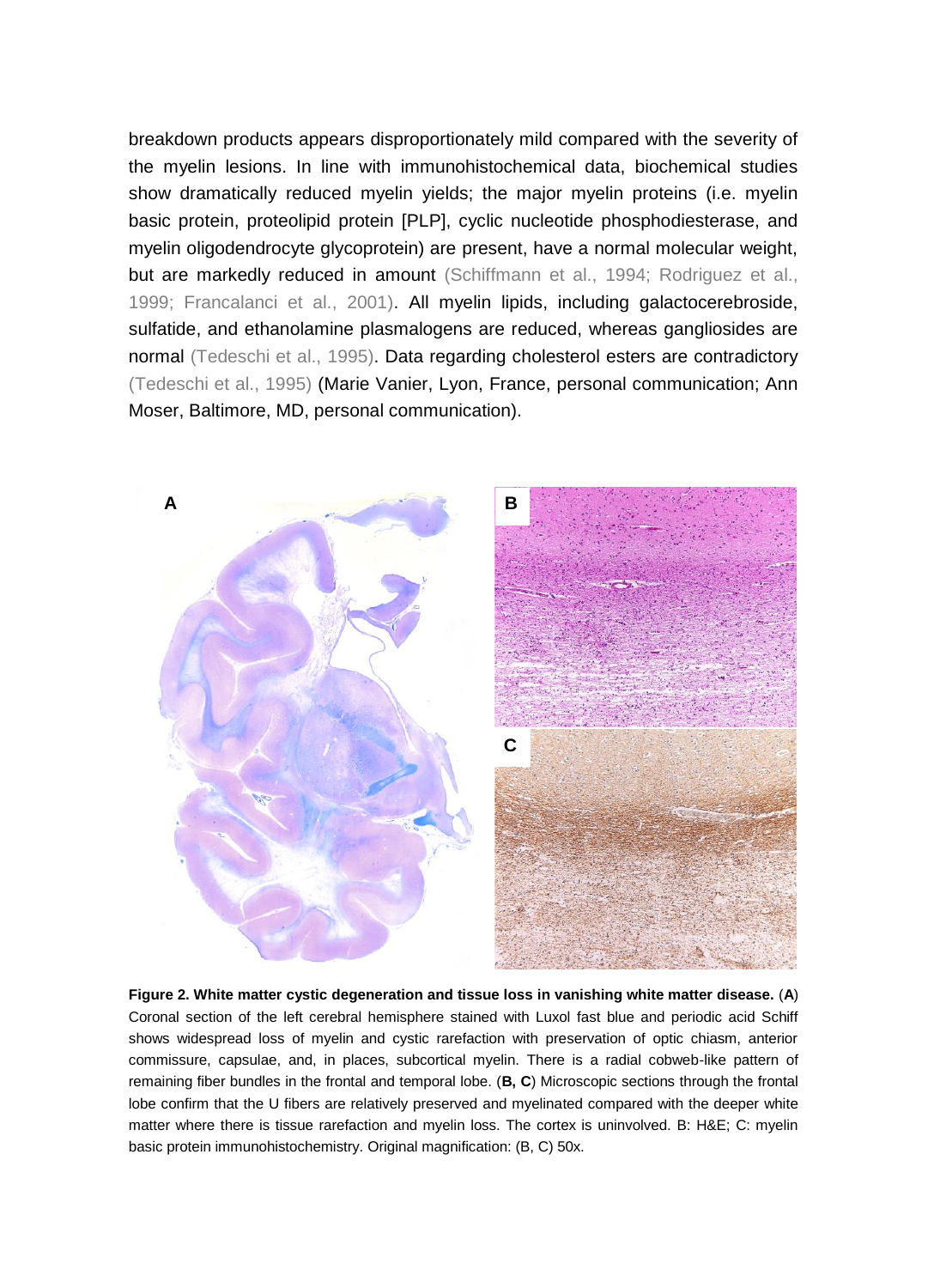breakdown products appears disproportionately mild compared with the severity of the myelin lesions. In line with immunohistochemical data, biochemical studies show dramatically reduced myelin yields; the major myelin proteins (i.e. myelin basic protein, proteolipid protein [PLP], cyclic nucleotide phosphodiesterase, and myelin oligodendrocyte glycoprotein) are present, have a normal molecular weight, but are markedly reduced in amount (Schiffmann et al., 1994; Rodriguez et al., 1999; Francalanci et al., 2001). All myelin lipids, including galactocerebroside, sulfatide, and ethanolamine plasmalogens are reduced, whereas gangliosides are normal (Tedeschi et al., 1995). Data regarding cholesterol esters are contradictory (Tedeschi et al., 1995) (Marie Vanier, Lyon, France, personal communication; Ann Moser, Baltimore, MD, personal communication).



**Figure 2. White matter cystic degeneration and tissue loss in vanishing white matter disease.** (**A**) Coronal section of the left cerebral hemisphere stained with Luxol fast blue and periodic acid Schiff shows widespread loss of myelin and cystic rarefaction with preservation of optic chiasm, anterior commissure, capsulae, and, in places, subcortical myelin. There is a radial cobweb-like pattern of remaining fiber bundles in the frontal and temporal lobe. (**B, C**) Microscopic sections through the frontal lobe confirm that the U fibers are relatively preserved and myelinated compared with the deeper white matter where there is tissue rarefaction and myelin loss. The cortex is uninvolved. B: H&E; C: myelin basic protein immunohistochemistry. Original magnification: (B, C) 50x.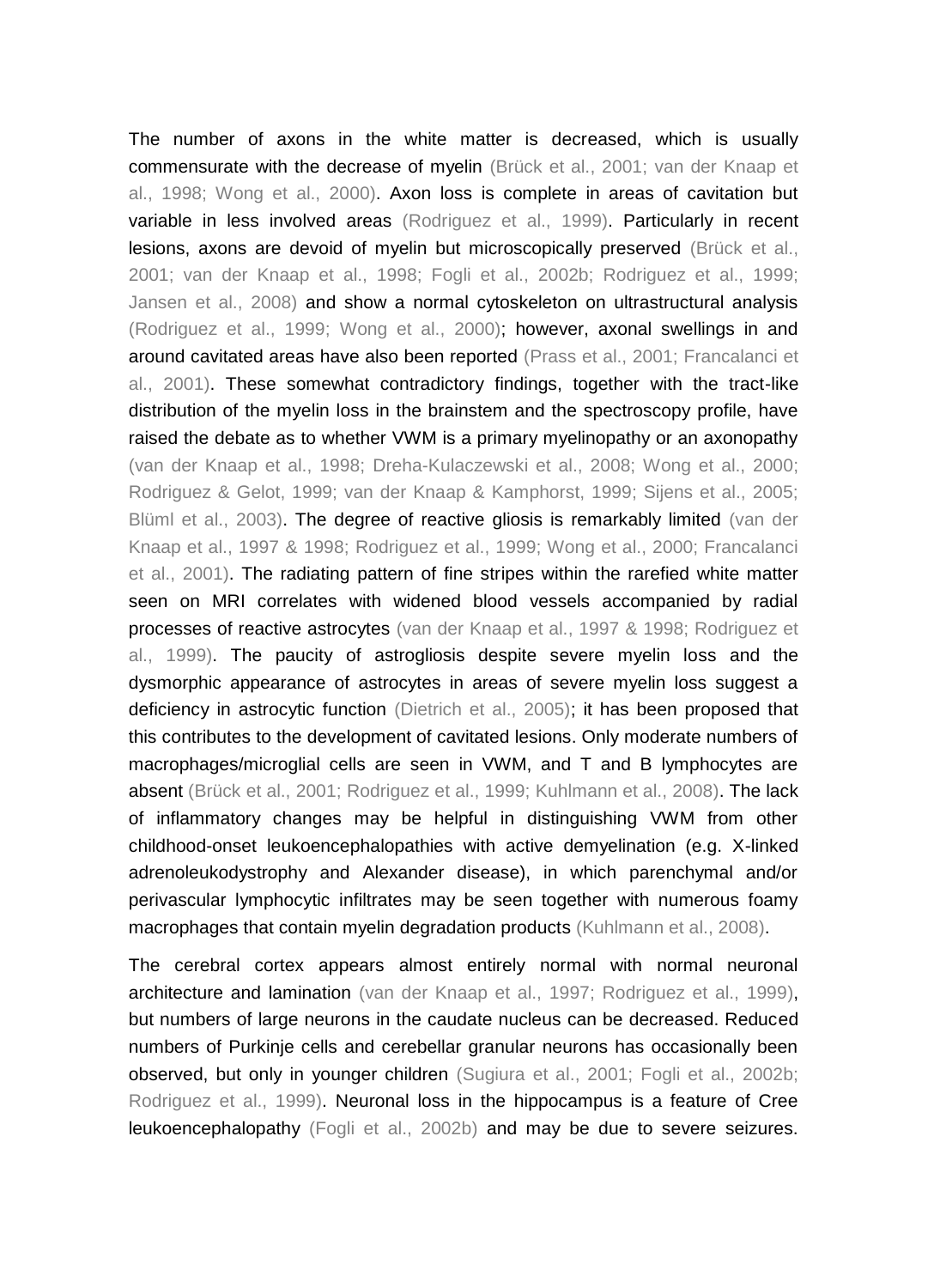The number of axons in the white matter is decreased, which is usually commensurate with the decrease of myelin (Brück et al., 2001; van der Knaap et al., 1998; Wong et al., 2000). Axon loss is complete in areas of cavitation but variable in less involved areas (Rodriguez et al., 1999). Particularly in recent lesions, axons are devoid of myelin but microscopically preserved (Brück et al., 2001; van der Knaap et al., 1998; Fogli et al., 2002b; Rodriguez et al., 1999; Jansen et al., 2008) and show a normal cytoskeleton on ultrastructural analysis (Rodriguez et al., 1999; Wong et al., 2000); however, axonal swellings in and around cavitated areas have also been reported (Prass et al., 2001; Francalanci et al., 2001). These somewhat contradictory findings, together with the tract-like distribution of the myelin loss in the brainstem and the spectroscopy profile, have raised the debate as to whether VWM is a primary myelinopathy or an axonopathy (van der Knaap et al., 1998; Dreha-Kulaczewski et al., 2008; Wong et al., 2000; Rodriguez & Gelot, 1999; van der Knaap & Kamphorst, 1999; Sijens et al., 2005; Blüml et al., 2003). The degree of reactive gliosis is remarkably limited (van der Knaap et al., 1997 & 1998; Rodriguez et al., 1999; Wong et al., 2000; Francalanci et al., 2001). The radiating pattern of fine stripes within the rarefied white matter seen on MRI correlates with widened blood vessels accompanied by radial processes of reactive astrocytes (van der Knaap et al., 1997 & 1998; Rodriguez et al., 1999). The paucity of astrogliosis despite severe myelin loss and the dysmorphic appearance of astrocytes in areas of severe myelin loss suggest a deficiency in astrocytic function (Dietrich et al., 2005); it has been proposed that this contributes to the development of cavitated lesions. Only moderate numbers of macrophages/microglial cells are seen in VWM, and T and B lymphocytes are absent (Brück et al., 2001; Rodriguez et al., 1999; Kuhlmann et al., 2008). The lack of inflammatory changes may be helpful in distinguishing VWM from other childhood-onset leukoencephalopathies with active demyelination (e.g. X-linked adrenoleukodystrophy and Alexander disease), in which parenchymal and/or perivascular lymphocytic infiltrates may be seen together with numerous foamy macrophages that contain myelin degradation products (Kuhlmann et al., 2008).

The cerebral cortex appears almost entirely normal with normal neuronal architecture and lamination (van der Knaap et al., 1997; Rodriguez et al., 1999), but numbers of large neurons in the caudate nucleus can be decreased. Reduced numbers of Purkinje cells and cerebellar granular neurons has occasionally been observed, but only in younger children (Sugiura et al., 2001; Fogli et al., 2002b; Rodriguez et al., 1999). Neuronal loss in the hippocampus is a feature of Cree leukoencephalopathy (Fogli et al., 2002b) and may be due to severe seizures.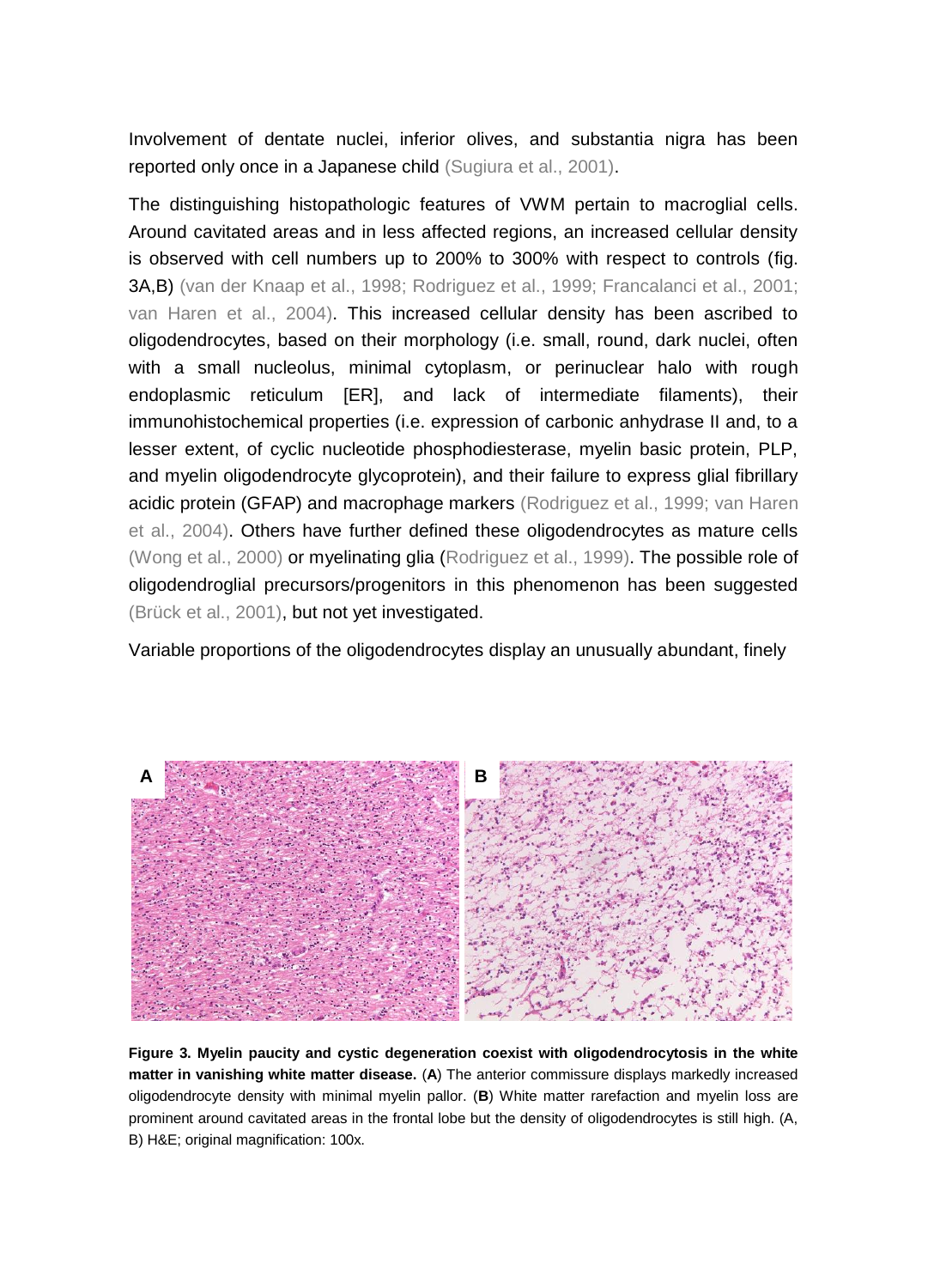Involvement of dentate nuclei, inferior olives, and substantia nigra has been reported only once in a Japanese child (Sugiura et al., 2001).

The distinguishing histopathologic features of VWM pertain to macroglial cells. Around cavitated areas and in less affected regions, an increased cellular density is observed with cell numbers up to 200% to 300% with respect to controls (fig. 3A,B) (van der Knaap et al., 1998; Rodriguez et al., 1999; Francalanci et al., 2001; van Haren et al., 2004). This increased cellular density has been ascribed to oligodendrocytes, based on their morphology (i.e. small, round, dark nuclei, often with a small nucleolus, minimal cytoplasm, or perinuclear halo with rough endoplasmic reticulum [ER], and lack of intermediate filaments), their immunohistochemical properties (i.e. expression of carbonic anhydrase II and, to a lesser extent, of cyclic nucleotide phosphodiesterase, myelin basic protein, PLP, and myelin oligodendrocyte glycoprotein), and their failure to express glial fibrillary acidic protein (GFAP) and macrophage markers (Rodriguez et al., 1999; van Haren et al., 2004). Others have further defined these oligodendrocytes as mature cells (Wong et al., 2000) or myelinating glia (Rodriguez et al., 1999). The possible role of oligodendroglial precursors/progenitors in this phenomenon has been suggested (Brück et al., 2001), but not yet investigated.

Variable proportions of the oligodendrocytes display an unusually abundant, finely



**Figure 3. Myelin paucity and cystic degeneration coexist with oligodendrocytosis in the white matter in vanishing white matter disease.** (**A**) The anterior commissure displays markedly increased oligodendrocyte density with minimal myelin pallor. (**B**) White matter rarefaction and myelin loss are prominent around cavitated areas in the frontal lobe but the density of oligodendrocytes is still high. (A, B) H&E; original magnification: 100x.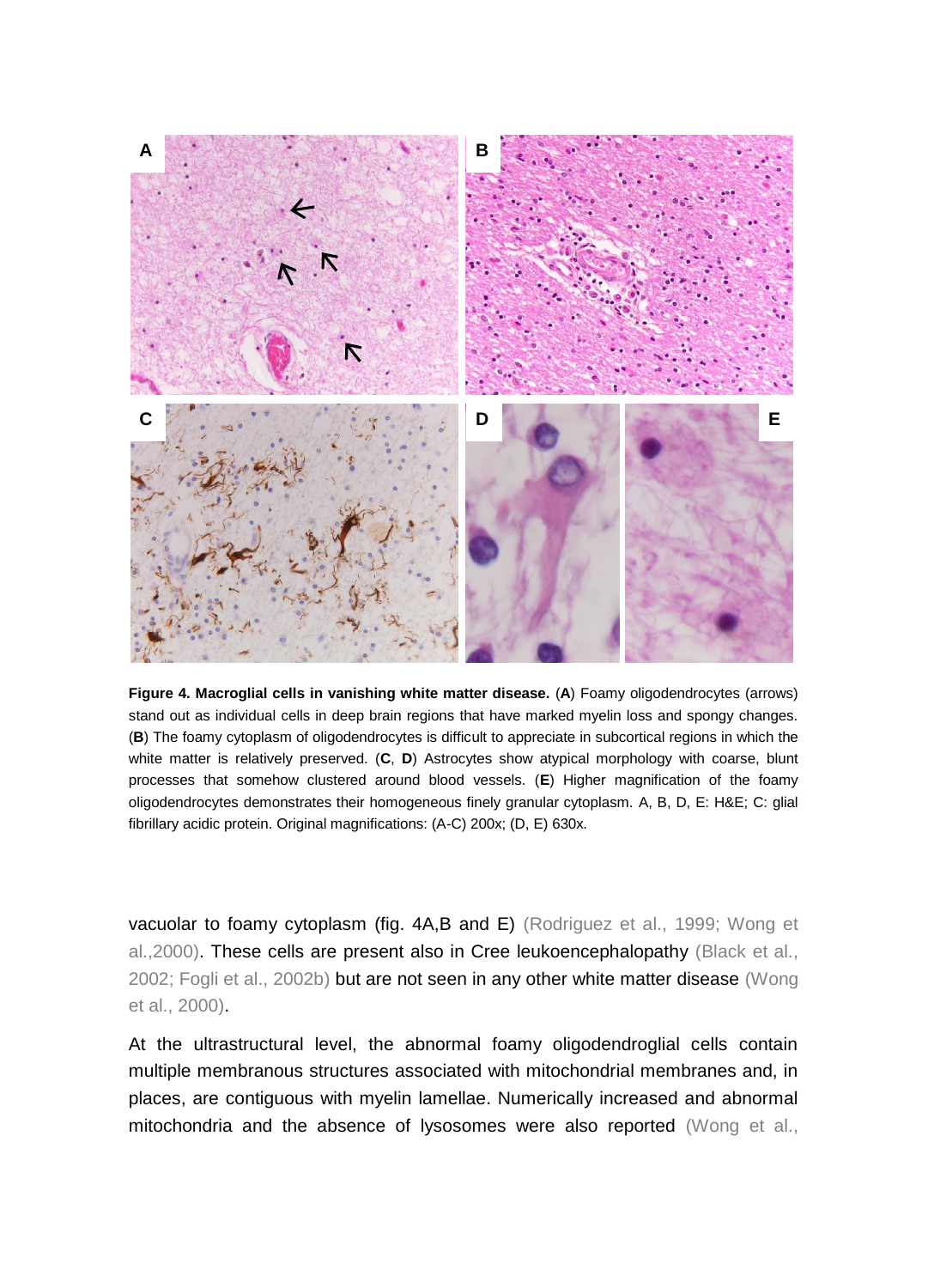

**Figure 4. Macroglial cells in vanishing white matter disease.** (**A**) Foamy oligodendrocytes (arrows) stand out as individual cells in deep brain regions that have marked myelin loss and spongy changes. (**B**) The foamy cytoplasm of oligodendrocytes is difficult to appreciate in subcortical regions in which the white matter is relatively preserved. (**C**, **D**) Astrocytes show atypical morphology with coarse, blunt processes that somehow clustered around blood vessels. (**E**) Higher magnification of the foamy oligodendrocytes demonstrates their homogeneous finely granular cytoplasm. A, B, D, E: H&E; C: glial fibrillary acidic protein. Original magnifications: (A-C) 200x; (D, E) 630x.

vacuolar to foamy cytoplasm (fig. 4A,B and E) (Rodriguez et al., 1999; Wong et al.,2000). These cells are present also in Cree leukoencephalopathy (Black et al., 2002; Fogli et al., 2002b) but are not seen in any other white matter disease (Wong et al., 2000).

At the ultrastructural level, the abnormal foamy oligodendroglial cells contain multiple membranous structures associated with mitochondrial membranes and, in places, are contiguous with myelin lamellae. Numerically increased and abnormal mitochondria and the absence of lysosomes were also reported (Wong et al.,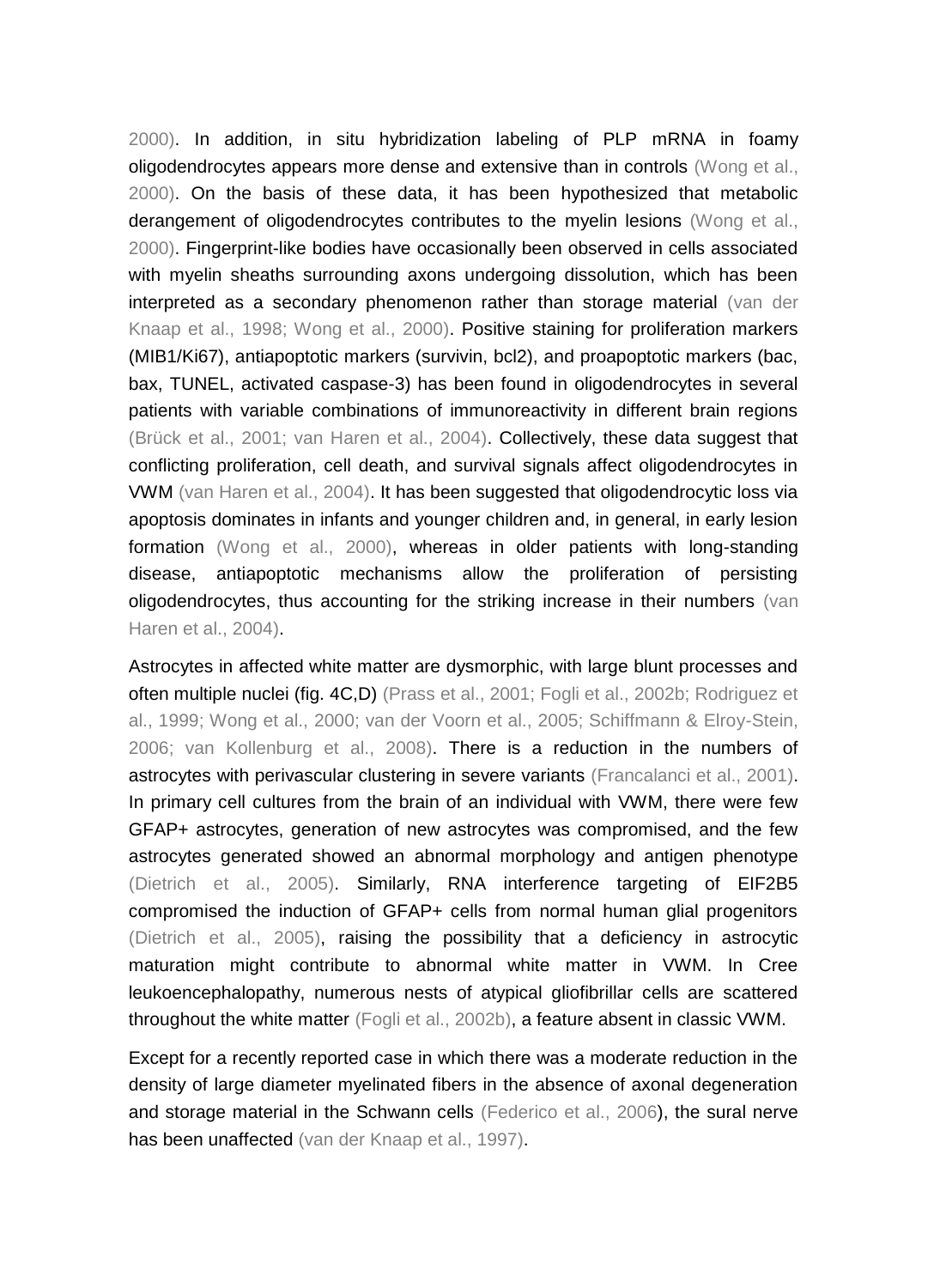2000). In addition, in situ hybridization labeling of PLP mRNA in foamy oligodendrocytes appears more dense and extensive than in controls (Wong et al., 2000). On the basis of these data, it has been hypothesized that metabolic derangement of oligodendrocytes contributes to the myelin lesions (Wong et al., 2000). Fingerprint-like bodies have occasionally been observed in cells associated with myelin sheaths surrounding axons undergoing dissolution, which has been interpreted as a secondary phenomenon rather than storage material (van der Knaap et al., 1998; Wong et al., 2000). Positive staining for proliferation markers (MIB1/Ki67), antiapoptotic markers (survivin, bcl2), and proapoptotic markers (bac, bax, TUNEL, activated caspase-3) has been found in oligodendrocytes in several patients with variable combinations of immunoreactivity in different brain regions (Brück et al., 2001; van Haren et al., 2004). Collectively, these data suggest that conflicting proliferation, cell death, and survival signals affect oligodendrocytes in VWM (van Haren et al., 2004). It has been suggested that oligodendrocytic loss via apoptosis dominates in infants and younger children and, in general, in early lesion formation (Wong et al., 2000), whereas in older patients with long-standing disease, antiapoptotic mechanisms allow the proliferation of persisting oligodendrocytes, thus accounting for the striking increase in their numbers (van Haren et al., 2004).

Astrocytes in affected white matter are dysmorphic, with large blunt processes and often multiple nuclei (fig. 4C,D) (Prass et al., 2001; Fogli et al., 2002b; Rodriguez et al., 1999; Wong et al., 2000; van der Voorn et al., 2005; Schiffmann & Elroy-Stein, 2006; van Kollenburg et al., 2008). There is a reduction in the numbers of astrocytes with perivascular clustering in severe variants (Francalanci et al., 2001). In primary cell cultures from the brain of an individual with VWM, there were few GFAP+ astrocytes, generation of new astrocytes was compromised, and the few astrocytes generated showed an abnormal morphology and antigen phenotype (Dietrich et al., 2005). Similarly, RNA interference targeting of EIF2B5 compromised the induction of GFAP+ cells from normal human glial progenitors (Dietrich et al., 2005), raising the possibility that a deficiency in astrocytic maturation might contribute to abnormal white matter in VWM. In Cree leukoencephalopathy, numerous nests of atypical gliofibrillar cells are scattered throughout the white matter (Fogli et al., 2002b), a feature absent in classic VWM.

Except for a recently reported case in which there was a moderate reduction in the density of large diameter myelinated fibers in the absence of axonal degeneration and storage material in the Schwann cells (Federico et al., 2006), the sural nerve has been unaffected (van der Knaap et al., 1997).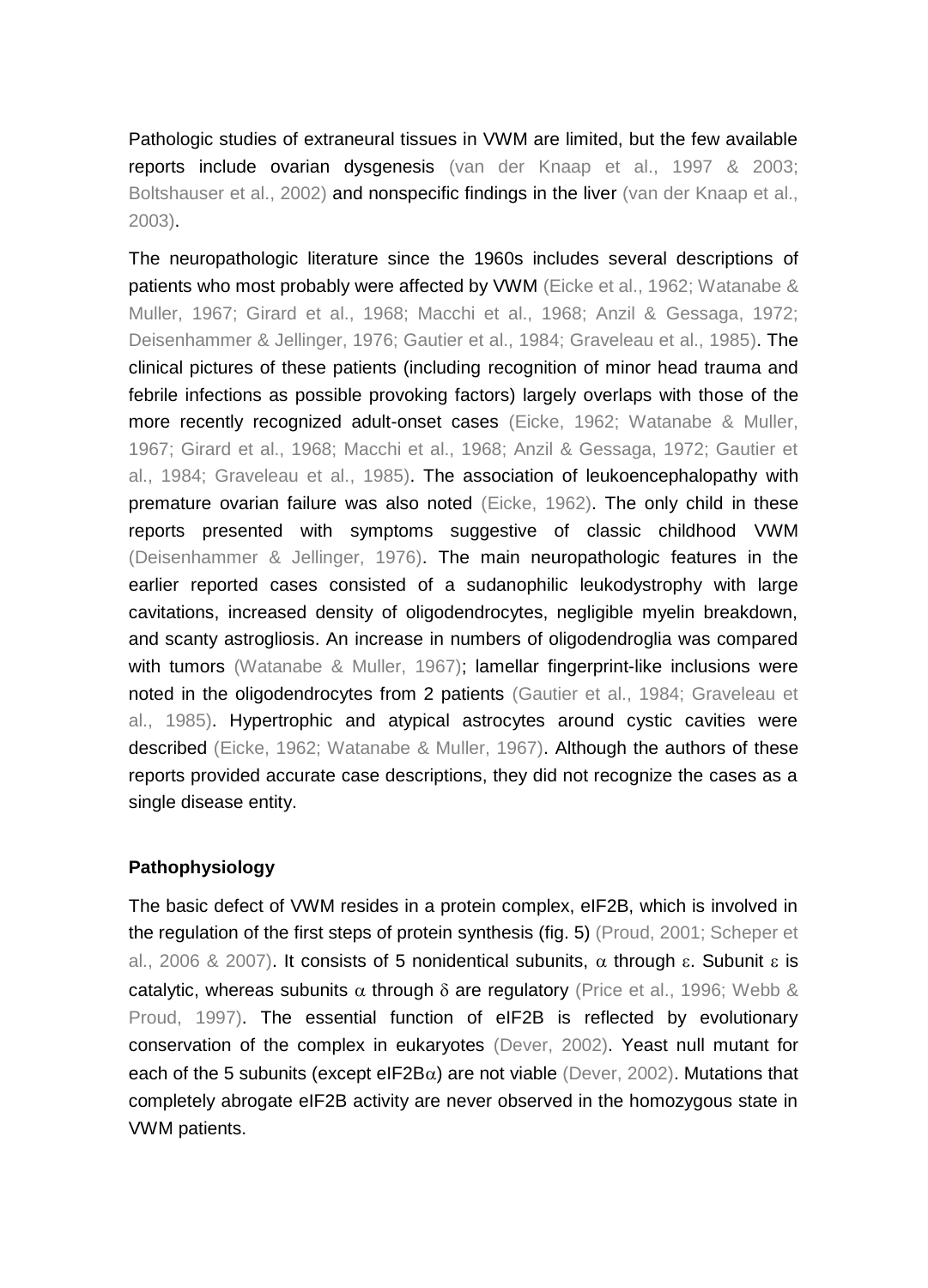Pathologic studies of extraneural tissues in VWM are limited, but the few available reports include ovarian dysgenesis (van der Knaap et al., 1997 & 2003; Boltshauser et al., 2002) and nonspecific findings in the liver (van der Knaap et al., 2003).

The neuropathologic literature since the 1960s includes several descriptions of patients who most probably were affected by VWM (Eicke et al., 1962; Watanabe & Muller, 1967; Girard et al., 1968; Macchi et al., 1968; Anzil & Gessaga, 1972; Deisenhammer & Jellinger, 1976; Gautier et al., 1984; Graveleau et al., 1985). The clinical pictures of these patients (including recognition of minor head trauma and febrile infections as possible provoking factors) largely overlaps with those of the more recently recognized adult-onset cases (Eicke, 1962; Watanabe & Muller, 1967; Girard et al., 1968; Macchi et al., 1968; Anzil & Gessaga, 1972; Gautier et al., 1984; Graveleau et al., 1985). The association of leukoencephalopathy with premature ovarian failure was also noted (Eicke, 1962). The only child in these reports presented with symptoms suggestive of classic childhood VWM (Deisenhammer & Jellinger, 1976). The main neuropathologic features in the earlier reported cases consisted of a sudanophilic leukodystrophy with large cavitations, increased density of oligodendrocytes, negligible myelin breakdown, and scanty astrogliosis. An increase in numbers of oligodendroglia was compared with tumors (Watanabe & Muller, 1967); lamellar fingerprint-like inclusions were noted in the oligodendrocytes from 2 patients (Gautier et al., 1984; Graveleau et al., 1985). Hypertrophic and atypical astrocytes around cystic cavities were described (Eicke, 1962; Watanabe & Muller, 1967). Although the authors of these reports provided accurate case descriptions, they did not recognize the cases as a single disease entity.

# **Pathophysiology**

The basic defect of VWM resides in a protein complex, eIF2B, which is involved in the regulation of the first steps of protein synthesis (fig. 5) (Proud, 2001; Scheper et al., 2006 & 2007). It consists of 5 nonidentical subunits,  $\alpha$  through  $\varepsilon$ . Subunit  $\varepsilon$  is catalytic, whereas subunits  $\alpha$  through  $\delta$  are regulatory (Price et al., 1996; Webb & Proud, 1997). The essential function of eIF2B is reflected by evolutionary conservation of the complex in eukaryotes (Dever, 2002). Yeast null mutant for each of the 5 subunits (except eIF2B $\alpha$ ) are not viable (Dever, 2002). Mutations that completely abrogate eIF2B activity are never observed in the homozygous state in VWM patients.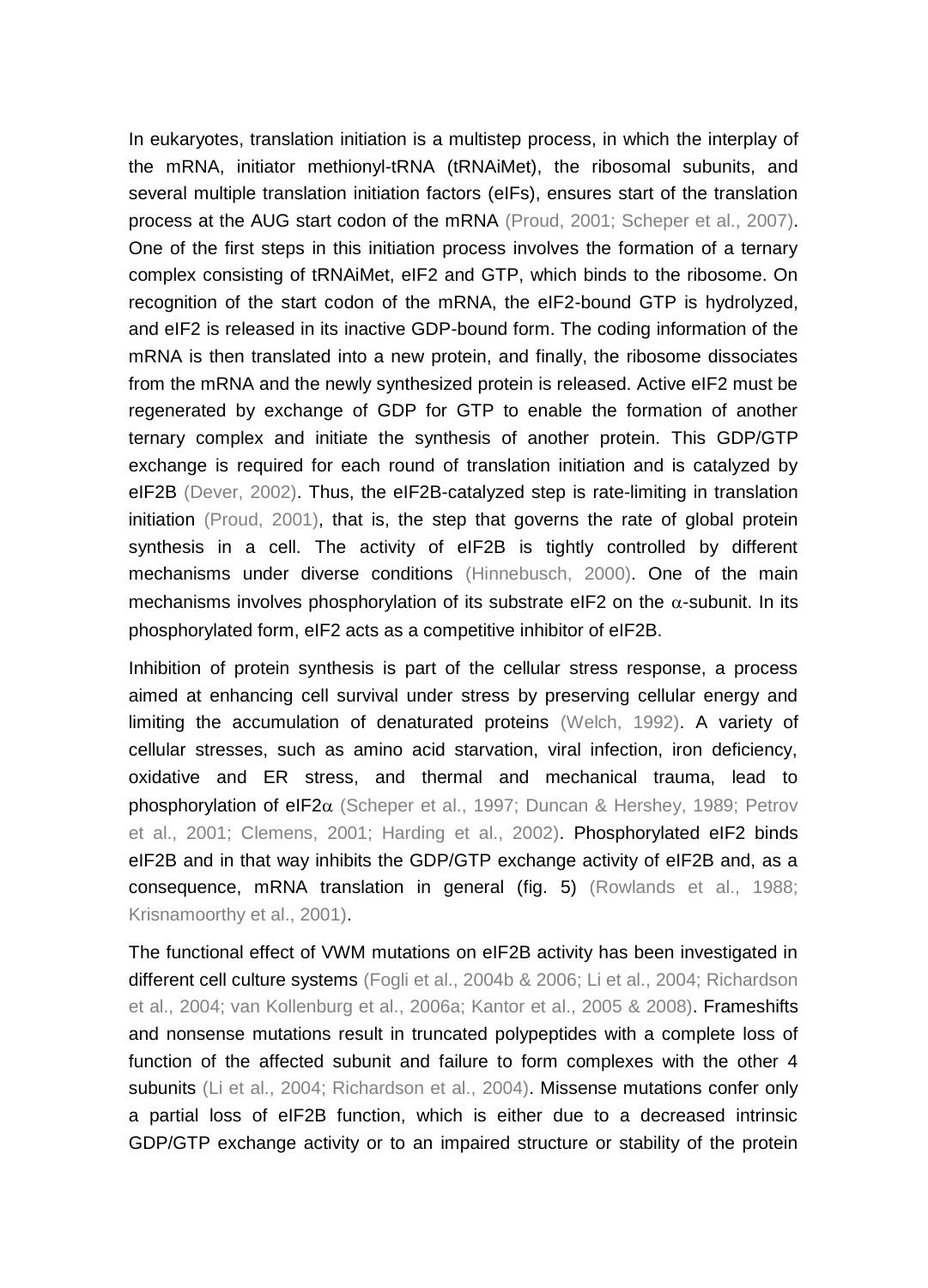In eukaryotes, translation initiation is a multistep process, in which the interplay of the mRNA, initiator methionyl-tRNA (tRNAiMet), the ribosomal subunits, and several multiple translation initiation factors (eIFs), ensures start of the translation process at the AUG start codon of the mRNA (Proud, 2001; Scheper et al., 2007). One of the first steps in this initiation process involves the formation of a ternary complex consisting of tRNAiMet, eIF2 and GTP, which binds to the ribosome. On recognition of the start codon of the mRNA, the eIF2-bound GTP is hydrolyzed, and eIF2 is released in its inactive GDP-bound form. The coding information of the mRNA is then translated into a new protein, and finally, the ribosome dissociates from the mRNA and the newly synthesized protein is released. Active eIF2 must be regenerated by exchange of GDP for GTP to enable the formation of another ternary complex and initiate the synthesis of another protein. This GDP/GTP exchange is required for each round of translation initiation and is catalyzed by eIF2B (Dever, 2002). Thus, the eIF2B-catalyzed step is rate-limiting in translation initiation (Proud, 2001), that is, the step that governs the rate of global protein synthesis in a cell. The activity of eIF2B is tightly controlled by different mechanisms under diverse conditions (Hinnebusch, 2000). One of the main mechanisms involves phosphorylation of its substrate eIF2 on the  $\alpha$ -subunit. In its phosphorylated form, eIF2 acts as a competitive inhibitor of eIF2B.

Inhibition of protein synthesis is part of the cellular stress response, a process aimed at enhancing cell survival under stress by preserving cellular energy and limiting the accumulation of denaturated proteins (Welch, 1992). A variety of cellular stresses, such as amino acid starvation, viral infection, iron deficiency, oxidative and ER stress, and thermal and mechanical trauma, lead to phosphorylation of eIF2 $\alpha$  (Scheper et al., 1997; Duncan & Hershey, 1989; Petrov et al., 2001; Clemens, 2001; Harding et al., 2002). Phosphorylated eIF2 binds eIF2B and in that way inhibits the GDP/GTP exchange activity of eIF2B and, as a consequence, mRNA translation in general (fig. 5) (Rowlands et al., 1988; Krisnamoorthy et al., 2001).

The functional effect of VWM mutations on eIF2B activity has been investigated in different cell culture systems (Fogli et al., 2004b & 2006; Li et al., 2004; Richardson et al., 2004; van Kollenburg et al., 2006a; Kantor et al., 2005 & 2008). Frameshifts and nonsense mutations result in truncated polypeptides with a complete loss of function of the affected subunit and failure to form complexes with the other 4 subunits (Li et al., 2004; Richardson et al., 2004). Missense mutations confer only a partial loss of eIF2B function, which is either due to a decreased intrinsic GDP/GTP exchange activity or to an impaired structure or stability of the protein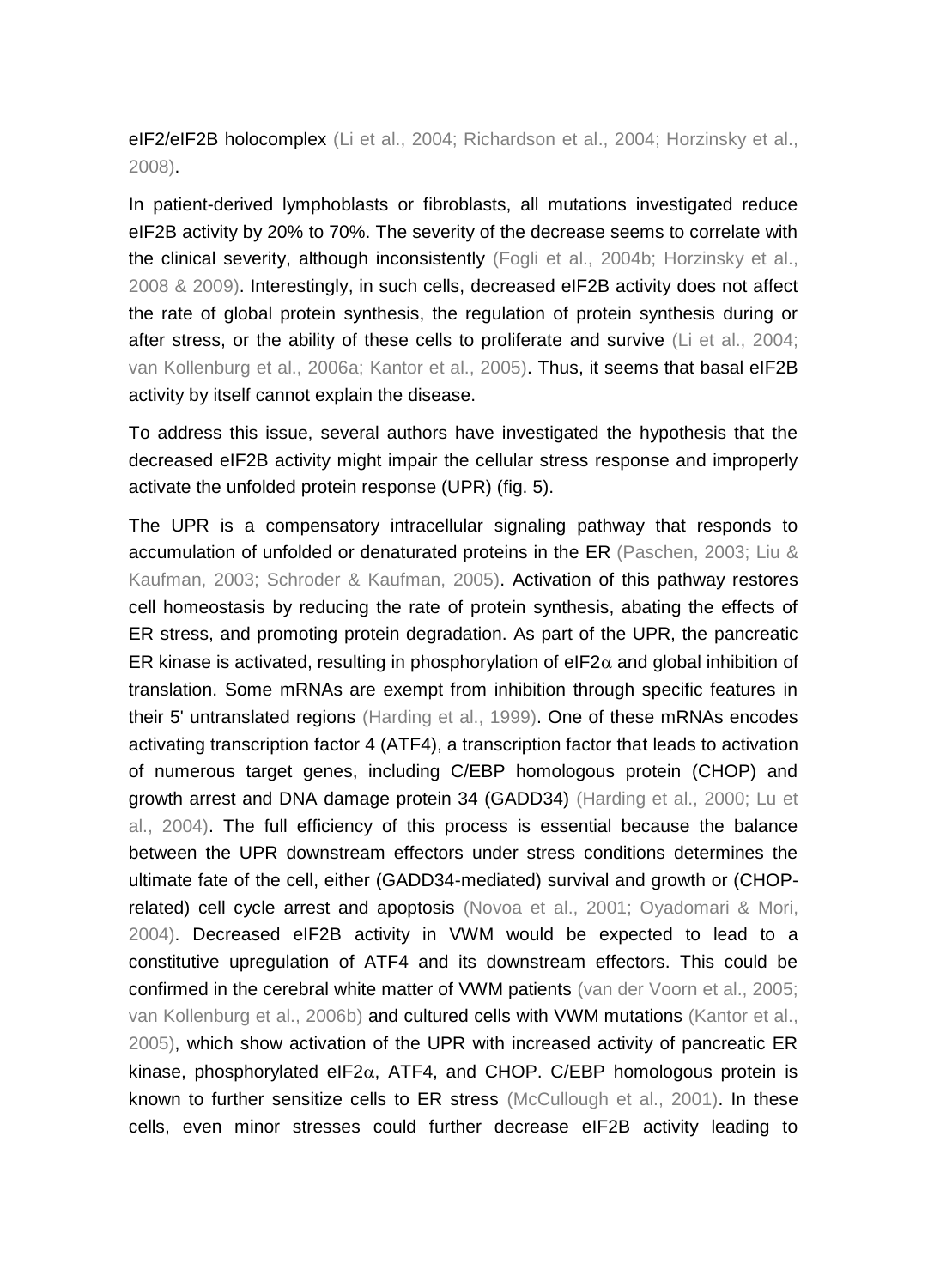eIF2/eIF2B holocomplex (Li et al., 2004; Richardson et al., 2004; Horzinsky et al., 2008).

In patient-derived lymphoblasts or fibroblasts, all mutations investigated reduce eIF2B activity by 20% to 70%. The severity of the decrease seems to correlate with the clinical severity, although inconsistently (Fogli et al., 2004b; Horzinsky et al., 2008 & 2009). Interestingly, in such cells, decreased eIF2B activity does not affect the rate of global protein synthesis, the regulation of protein synthesis during or after stress, or the ability of these cells to proliferate and survive (Li et al., 2004; van Kollenburg et al., 2006a; Kantor et al., 2005). Thus, it seems that basal eIF2B activity by itself cannot explain the disease.

To address this issue, several authors have investigated the hypothesis that the decreased eIF2B activity might impair the cellular stress response and improperly activate the unfolded protein response (UPR) (fig. 5).

The UPR is a compensatory intracellular signaling pathway that responds to accumulation of unfolded or denaturated proteins in the ER (Paschen, 2003; Liu & Kaufman, 2003; Schroder & Kaufman, 2005). Activation of this pathway restores cell homeostasis by reducing the rate of protein synthesis, abating the effects of ER stress, and promoting protein degradation. As part of the UPR, the pancreatic ER kinase is activated, resulting in phosphorylation of eIF2 $\alpha$  and global inhibition of translation. Some mRNAs are exempt from inhibition through specific features in their 5' untranslated regions (Harding et al., 1999). One of these mRNAs encodes activating transcription factor 4 (ATF4), a transcription factor that leads to activation of numerous target genes, including C/EBP homologous protein (CHOP) and growth arrest and DNA damage protein 34 (GADD34) (Harding et al., 2000; Lu et al., 2004). The full efficiency of this process is essential because the balance between the UPR downstream effectors under stress conditions determines the ultimate fate of the cell, either (GADD34-mediated) survival and growth or (CHOPrelated) cell cycle arrest and apoptosis (Novoa et al., 2001; Oyadomari & Mori, 2004). Decreased eIF2B activity in VWM would be expected to lead to a constitutive upregulation of ATF4 and its downstream effectors. This could be confirmed in the cerebral white matter of VWM patients (van der Voorn et al., 2005; van Kollenburg et al., 2006b) and cultured cells with VWM mutations (Kantor et al., 2005), which show activation of the UPR with increased activity of pancreatic ER kinase, phosphorylated eIF2 $\alpha$ , ATF4, and CHOP. C/EBP homologous protein is known to further sensitize cells to ER stress (McCullough et al., 2001). In these cells, even minor stresses could further decrease eIF2B activity leading to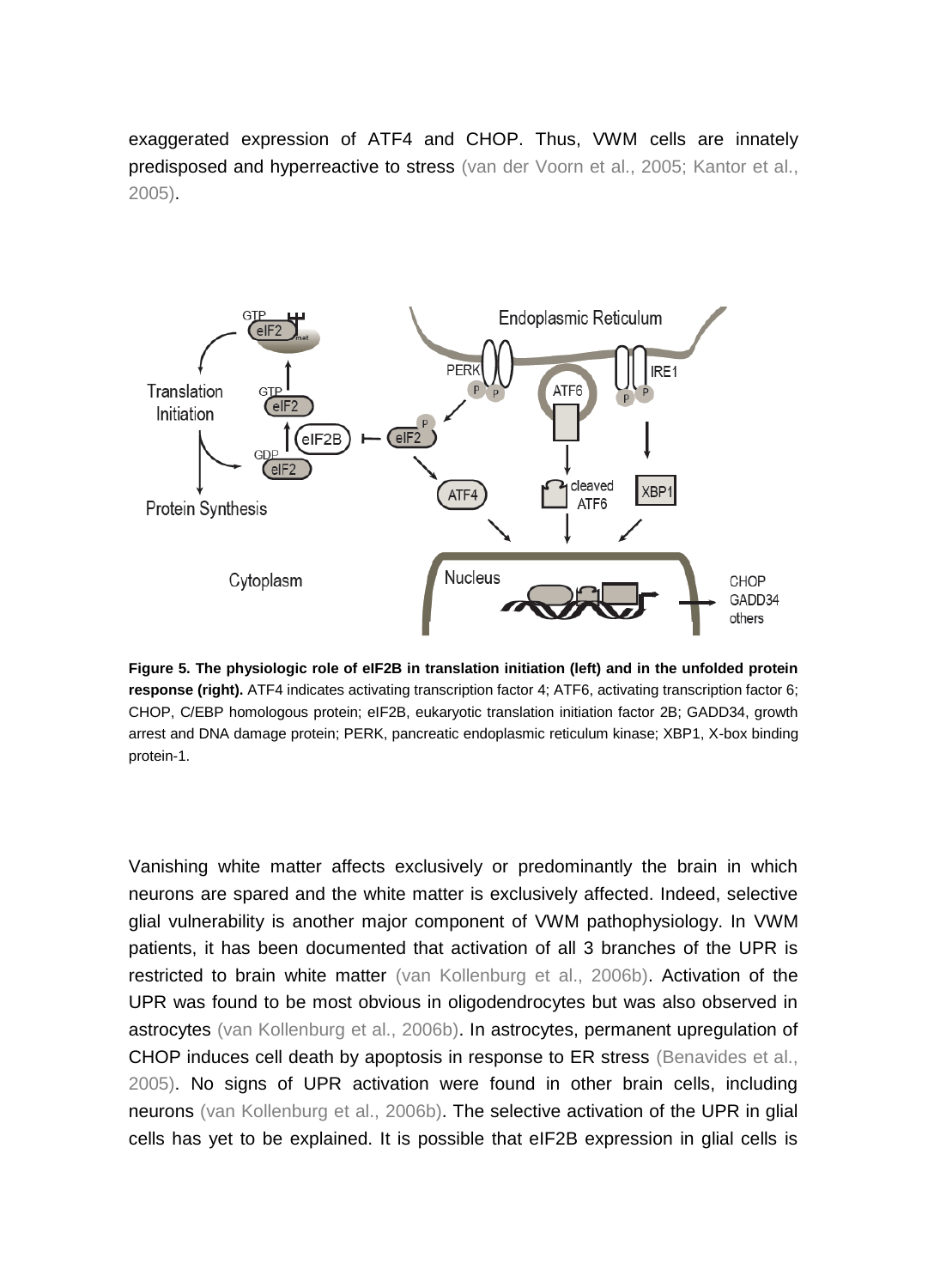exaggerated expression of ATF4 and CHOP. Thus, VWM cells are innately predisposed and hyperreactive to stress (van der Voorn et al., 2005; Kantor et al., 2005).



**Figure 5. The physiologic role of eIF2B in translation initiation (left) and in the unfolded protein response (right).** ATF4 indicates activating transcription factor 4; ATF6, activating transcription factor 6; CHOP, C/EBP homologous protein; eIF2B, eukaryotic translation initiation factor 2B; GADD34, growth arrest and DNA damage protein; PERK, pancreatic endoplasmic reticulum kinase; XBP1, X-box binding protein-1.

Vanishing white matter affects exclusively or predominantly the brain in which neurons are spared and the white matter is exclusively affected. Indeed, selective glial vulnerability is another major component of VWM pathophysiology. In VWM patients, it has been documented that activation of all 3 branches of the UPR is restricted to brain white matter (van Kollenburg et al., 2006b). Activation of the UPR was found to be most obvious in oligodendrocytes but was also observed in astrocytes (van Kollenburg et al., 2006b). In astrocytes, permanent upregulation of CHOP induces cell death by apoptosis in response to ER stress (Benavides et al., 2005). No signs of UPR activation were found in other brain cells, including neurons (van Kollenburg et al., 2006b). The selective activation of the UPR in glial cells has yet to be explained. It is possible that eIF2B expression in glial cells is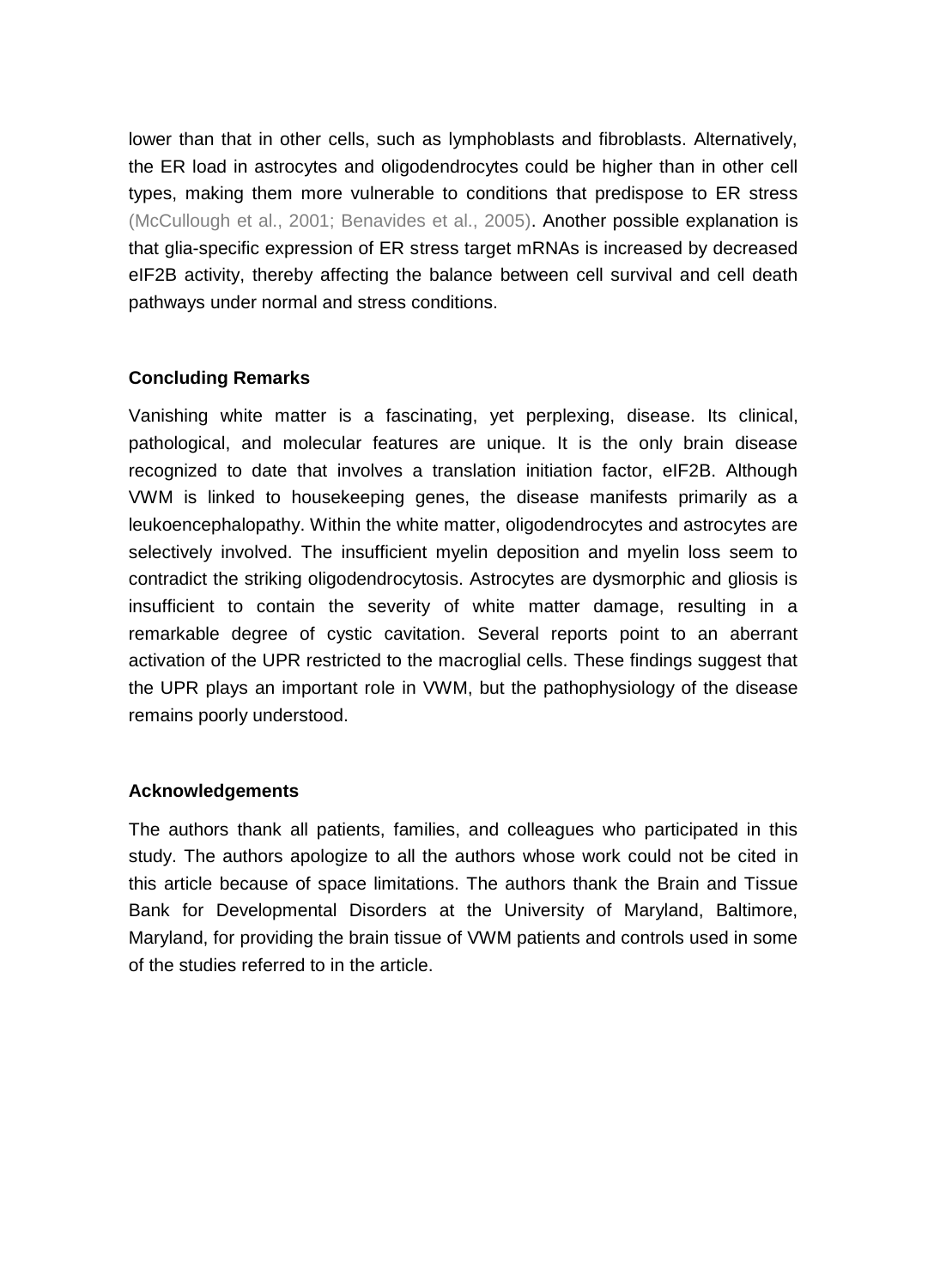lower than that in other cells, such as lymphoblasts and fibroblasts. Alternatively, the ER load in astrocytes and oligodendrocytes could be higher than in other cell types, making them more vulnerable to conditions that predispose to ER stress (McCullough et al., 2001; Benavides et al., 2005). Another possible explanation is that glia-specific expression of ER stress target mRNAs is increased by decreased eIF2B activity, thereby affecting the balance between cell survival and cell death pathways under normal and stress conditions.

# **Concluding Remarks**

Vanishing white matter is a fascinating, yet perplexing, disease. Its clinical, pathological, and molecular features are unique. It is the only brain disease recognized to date that involves a translation initiation factor, eIF2B. Although VWM is linked to housekeeping genes, the disease manifests primarily as a leukoencephalopathy. Within the white matter, oligodendrocytes and astrocytes are selectively involved. The insufficient myelin deposition and myelin loss seem to contradict the striking oligodendrocytosis. Astrocytes are dysmorphic and gliosis is insufficient to contain the severity of white matter damage, resulting in a remarkable degree of cystic cavitation. Several reports point to an aberrant activation of the UPR restricted to the macroglial cells. These findings suggest that the UPR plays an important role in VWM, but the pathophysiology of the disease remains poorly understood.

## **Acknowledgements**

The authors thank all patients, families, and colleagues who participated in this study. The authors apologize to all the authors whose work could not be cited in this article because of space limitations. The authors thank the Brain and Tissue Bank for Developmental Disorders at the University of Maryland, Baltimore, Maryland, for providing the brain tissue of VWM patients and controls used in some of the studies referred to in the article.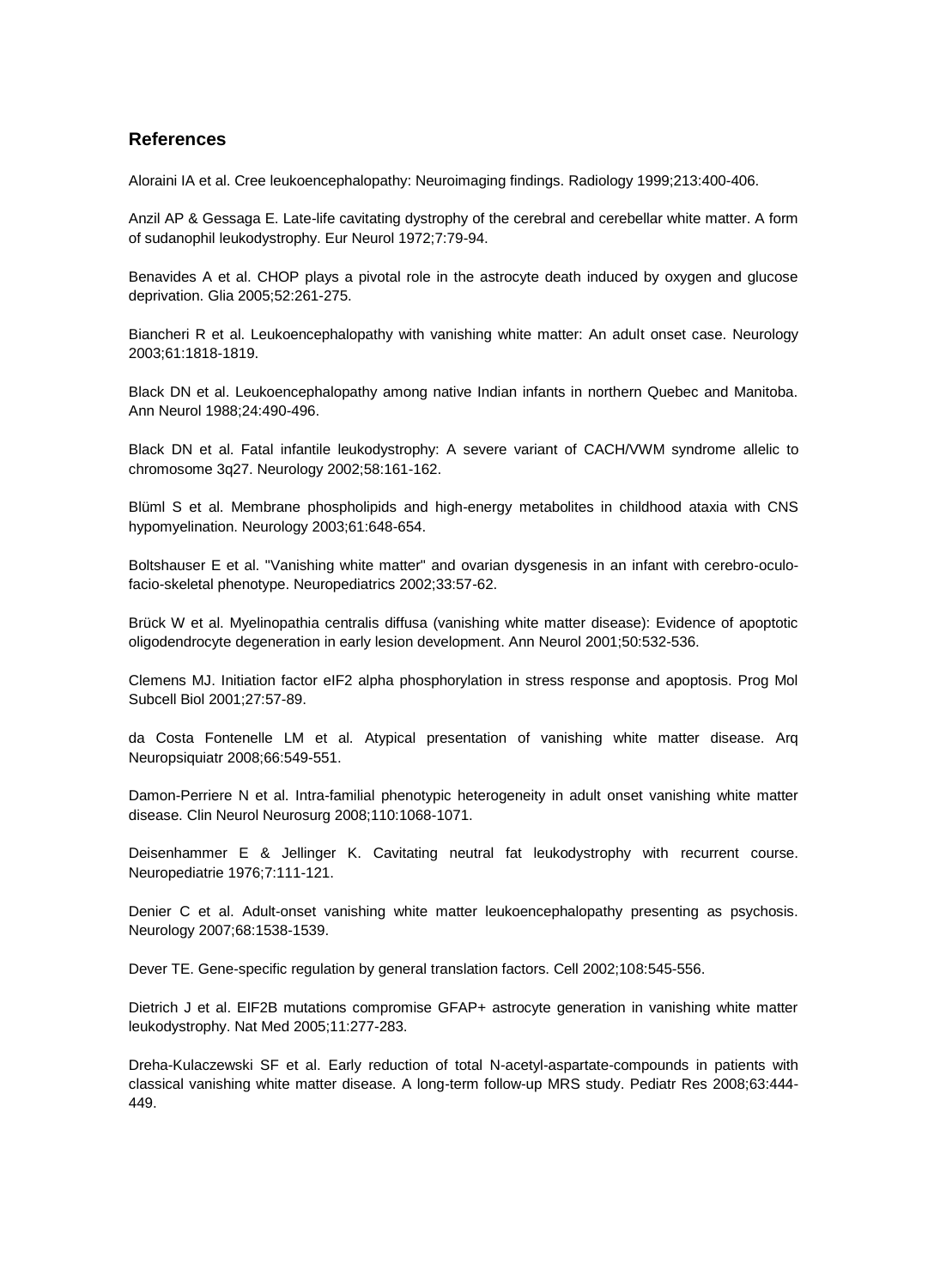### **References**

Aloraini IA et al. Cree leukoencephalopathy: Neuroimaging findings. Radiology 1999;213:400-406.

Anzil AP & Gessaga E. Late-life cavitating dystrophy of the cerebral and cerebellar white matter. A form of sudanophil leukodystrophy. Eur Neurol 1972;7:79-94.

Benavides A et al. CHOP plays a pivotal role in the astrocyte death induced by oxygen and glucose deprivation. Glia 2005;52:261-275.

Biancheri R et al. Leukoencephalopathy with vanishing white matter: An adult onset case. Neurology 2003;61:1818-1819.

Black DN et al. Leukoencephalopathy among native Indian infants in northern Quebec and Manitoba. Ann Neurol 1988;24:490-496.

Black DN et al. Fatal infantile leukodystrophy: A severe variant of CACH/VWM syndrome allelic to chromosome 3q27. Neurology 2002;58:161-162.

Blüml S et al. Membrane phospholipids and high-energy metabolites in childhood ataxia with CNS hypomyelination. Neurology 2003;61:648-654.

Boltshauser E et al. "Vanishing white matter" and ovarian dysgenesis in an infant with cerebro-oculofacio-skeletal phenotype. Neuropediatrics 2002;33:57-62.

Brück W et al. Myelinopathia centralis diffusa (vanishing white matter disease): Evidence of apoptotic oligodendrocyte degeneration in early lesion development. Ann Neurol 2001;50:532-536.

Clemens MJ. Initiation factor eIF2 alpha phosphorylation in stress response and apoptosis. Prog Mol Subcell Biol 2001;27:57-89.

da Costa Fontenelle LM et al. Atypical presentation of vanishing white matter disease. Arq Neuropsiquiatr 2008;66:549-551.

Damon-Perriere N et al. Intra-familial phenotypic heterogeneity in adult onset vanishing white matter disease. Clin Neurol Neurosurg 2008;110:1068-1071.

Deisenhammer E & Jellinger K. Cavitating neutral fat leukodystrophy with recurrent course. Neuropediatrie 1976;7:111-121.

Denier C et al. Adult-onset vanishing white matter leukoencephalopathy presenting as psychosis. Neurology 2007;68:1538-1539.

Dever TE. Gene-specific regulation by general translation factors. Cell 2002;108:545-556.

Dietrich J et al. EIF2B mutations compromise GFAP+ astrocyte generation in vanishing white matter leukodystrophy. Nat Med 2005;11:277-283.

Dreha-Kulaczewski SF et al. Early reduction of total N-acetyl-aspartate-compounds in patients with classical vanishing white matter disease. A long-term follow-up MRS study. Pediatr Res 2008;63:444- 449.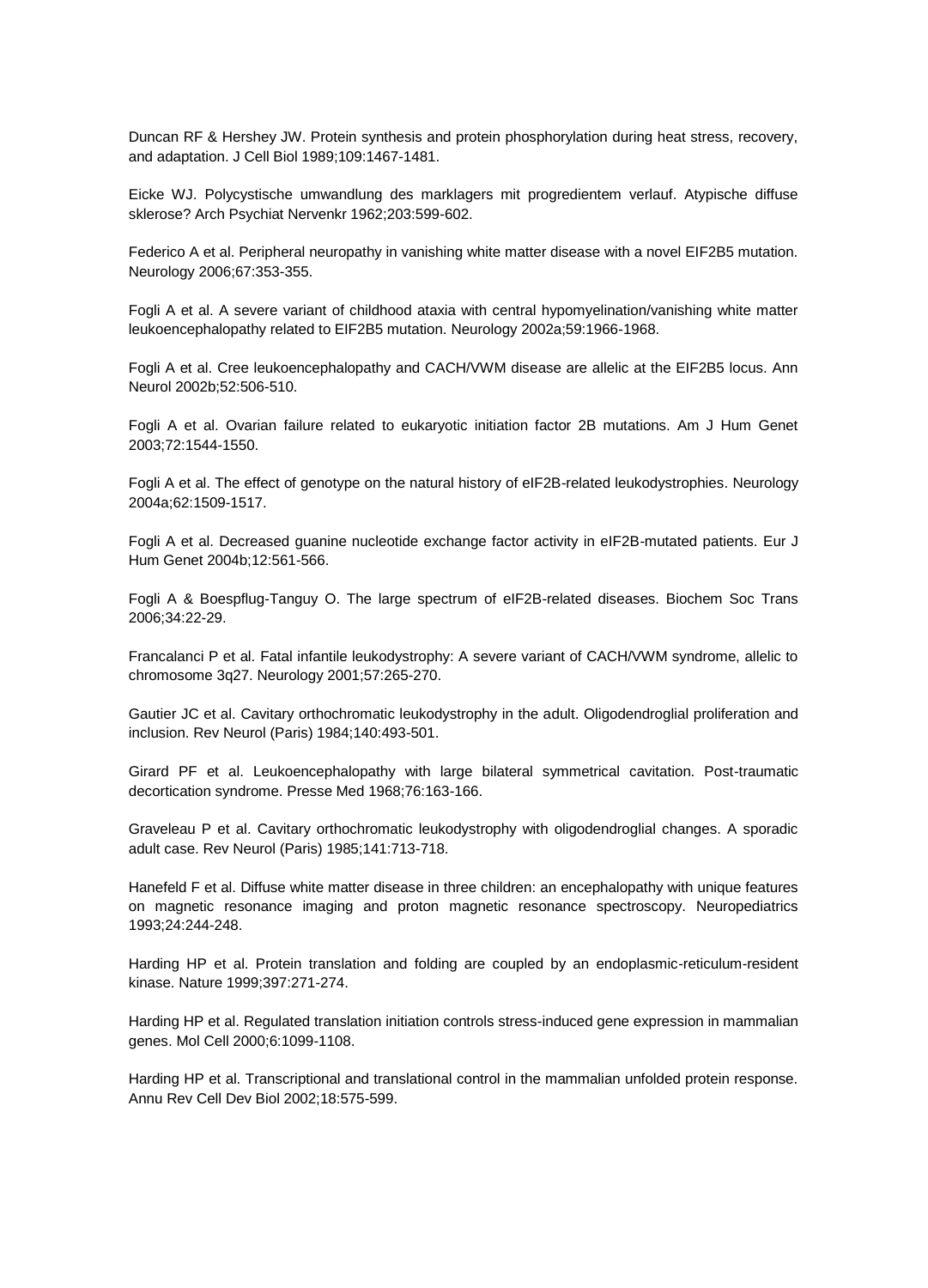Duncan RF & Hershey JW. Protein synthesis and protein phosphorylation during heat stress, recovery, and adaptation. J Cell Biol 1989;109:1467-1481.

Eicke WJ. Polycystische umwandlung des marklagers mit progredientem verlauf. Atypische diffuse sklerose? Arch Psychiat Nervenkr 1962;203:599-602.

Federico A et al. Peripheral neuropathy in vanishing white matter disease with a novel EIF2B5 mutation. Neurology 2006;67:353-355.

Fogli A et al. A severe variant of childhood ataxia with central hypomyelination/vanishing white matter leukoencephalopathy related to EIF2B5 mutation. Neurology 2002a;59:1966-1968.

Fogli A et al. Cree leukoencephalopathy and CACH/VWM disease are allelic at the EIF2B5 locus. Ann Neurol 2002b;52:506-510.

Fogli A et al. Ovarian failure related to eukaryotic initiation factor 2B mutations. Am J Hum Genet 2003;72:1544-1550.

Fogli A et al. The effect of genotype on the natural history of eIF2B-related leukodystrophies. Neurology 2004a;62:1509-1517.

Fogli A et al. Decreased guanine nucleotide exchange factor activity in eIF2B-mutated patients. Eur J Hum Genet 2004b;12:561-566.

Fogli A & Boespflug-Tanguy O. The large spectrum of eIF2B-related diseases. Biochem Soc Trans 2006;34:22-29.

Francalanci P et al. Fatal infantile leukodystrophy: A severe variant of CACH/VWM syndrome, allelic to chromosome 3q27. Neurology 2001;57:265-270.

Gautier JC et al. Cavitary orthochromatic leukodystrophy in the adult. Oligodendroglial proliferation and inclusion. Rev Neurol (Paris) 1984;140:493-501.

Girard PF et al. Leukoencephalopathy with large bilateral symmetrical cavitation. Post-traumatic decortication syndrome. Presse Med 1968;76:163-166.

Graveleau P et al. Cavitary orthochromatic leukodystrophy with oligodendroglial changes. A sporadic adult case. Rev Neurol (Paris) 1985;141:713-718.

Hanefeld F et al. Diffuse white matter disease in three children: an encephalopathy with unique features on magnetic resonance imaging and proton magnetic resonance spectroscopy. Neuropediatrics 1993;24:244-248.

Harding HP et al. Protein translation and folding are coupled by an endoplasmic-reticulum-resident kinase. Nature 1999;397:271-274.

Harding HP et al. Regulated translation initiation controls stress-induced gene expression in mammalian genes. Mol Cell 2000;6:1099-1108.

Harding HP et al. Transcriptional and translational control in the mammalian unfolded protein response. Annu Rev Cell Dev Biol 2002;18:575-599.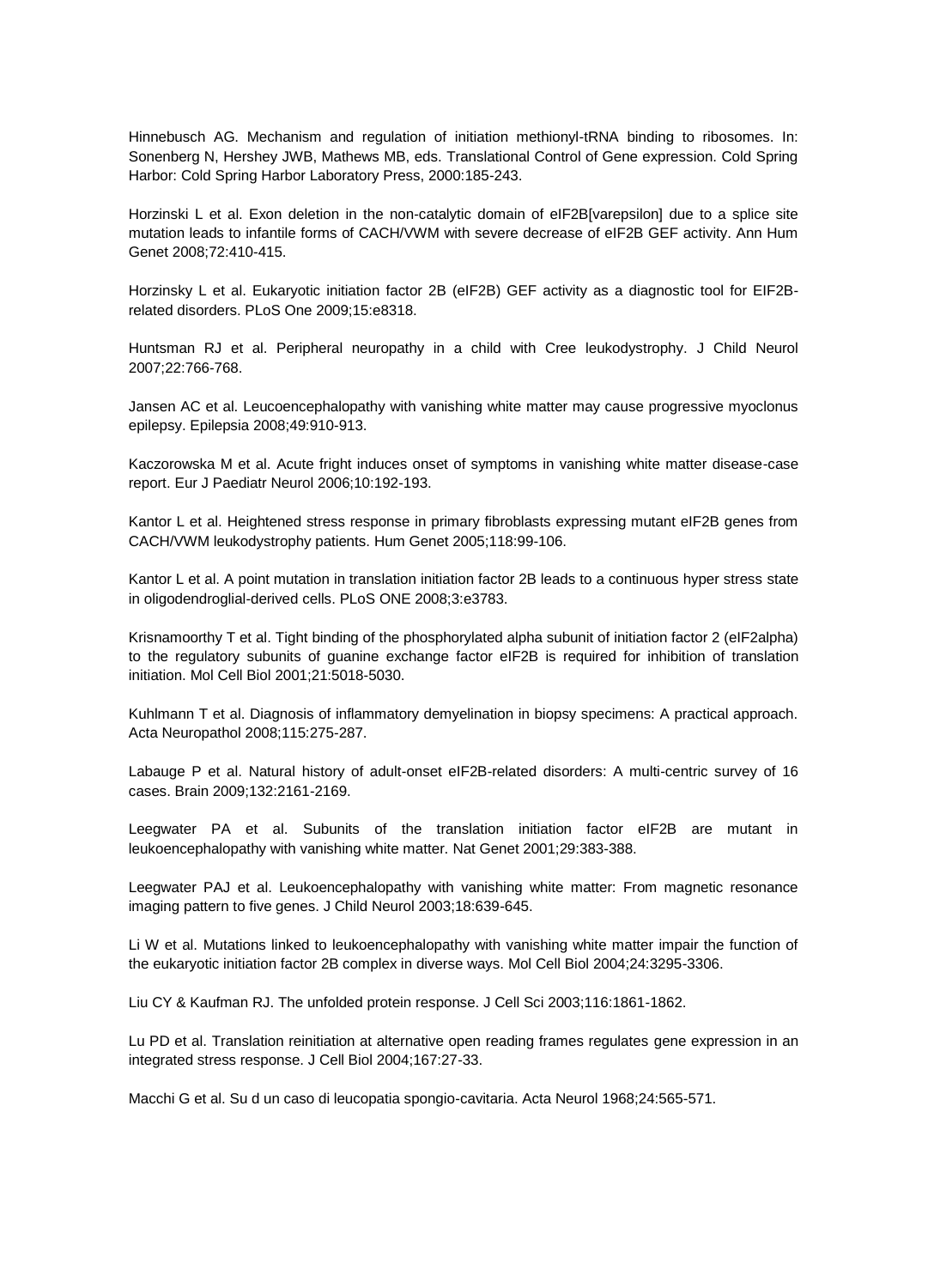Hinnebusch AG. Mechanism and regulation of initiation methionyl-tRNA binding to ribosomes. In: Sonenberg N, Hershey JWB, Mathews MB, eds. Translational Control of Gene expression. Cold Spring Harbor: Cold Spring Harbor Laboratory Press, 2000:185-243.

Horzinski L et al. Exon deletion in the non-catalytic domain of eIF2B[varepsilon] due to a splice site mutation leads to infantile forms of CACH/VWM with severe decrease of eIF2B GEF activity. Ann Hum Genet 2008;72:410-415.

Horzinsky L et al. Eukaryotic initiation factor 2B (eIF2B) GEF activity as a diagnostic tool for EIF2Brelated disorders. PLoS One 2009;15:e8318.

Huntsman RJ et al. Peripheral neuropathy in a child with Cree leukodystrophy. J Child Neurol 2007;22:766-768.

Jansen AC et al. Leucoencephalopathy with vanishing white matter may cause progressive myoclonus epilepsy. Epilepsia 2008;49:910-913.

Kaczorowska M et al. Acute fright induces onset of symptoms in vanishing white matter disease-case report. Eur J Paediatr Neurol 2006;10:192-193.

Kantor L et al. Heightened stress response in primary fibroblasts expressing mutant eIF2B genes from CACH/VWM leukodystrophy patients. Hum Genet 2005;118:99-106.

Kantor L et al. A point mutation in translation initiation factor 2B leads to a continuous hyper stress state in oligodendroglial-derived cells. PLoS ONE 2008;3:e3783.

Krisnamoorthy T et al. Tight binding of the phosphorylated alpha subunit of initiation factor 2 (eIF2alpha) to the regulatory subunits of guanine exchange factor eIF2B is required for inhibition of translation initiation. Mol Cell Biol 2001;21:5018-5030.

Kuhlmann T et al. Diagnosis of inflammatory demyelination in biopsy specimens: A practical approach. Acta Neuropathol 2008;115:275-287.

Labauge P et al. Natural history of adult-onset eIF2B-related disorders: A multi-centric survey of 16 cases. Brain 2009;132:2161-2169.

Leegwater PA et al. Subunits of the translation initiation factor eIF2B are mutant in leukoencephalopathy with vanishing white matter. Nat Genet 2001;29:383-388.

Leegwater PAJ et al. Leukoencephalopathy with vanishing white matter: From magnetic resonance imaging pattern to five genes. J Child Neurol 2003;18:639-645.

Li W et al. Mutations linked to leukoencephalopathy with vanishing white matter impair the function of the eukaryotic initiation factor 2B complex in diverse ways. Mol Cell Biol 2004;24:3295-3306.

Liu CY & Kaufman RJ. The unfolded protein response. J Cell Sci 2003;116:1861-1862.

Lu PD et al. Translation reinitiation at alternative open reading frames regulates gene expression in an integrated stress response. J Cell Biol 2004;167:27-33.

Macchi G et al. Su d un caso di leucopatia spongio-cavitaria. Acta Neurol 1968;24:565-571.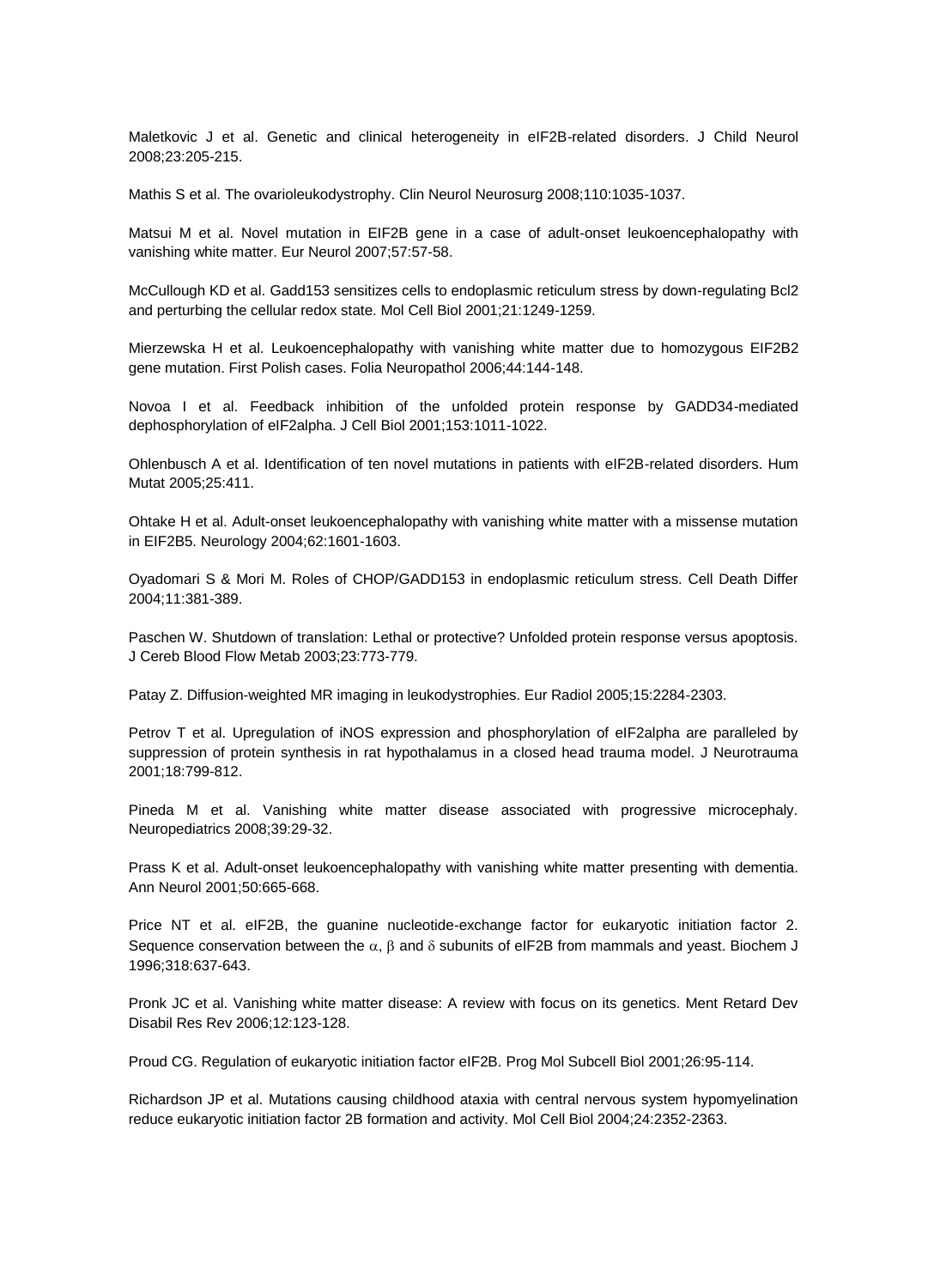Maletkovic J et al. Genetic and clinical heterogeneity in eIF2B-related disorders. J Child Neurol 2008;23:205-215.

Mathis S et al. The ovarioleukodystrophy. Clin Neurol Neurosurg 2008;110:1035-1037.

Matsui M et al. Novel mutation in EIF2B gene in a case of adult-onset leukoencephalopathy with vanishing white matter. Eur Neurol 2007;57:57-58.

McCullough KD et al. Gadd153 sensitizes cells to endoplasmic reticulum stress by down-regulating Bcl2 and perturbing the cellular redox state. Mol Cell Biol 2001;21:1249-1259.

Mierzewska H et al. Leukoencephalopathy with vanishing white matter due to homozygous EIF2B2 gene mutation. First Polish cases. Folia Neuropathol 2006;44:144-148.

Novoa I et al. Feedback inhibition of the unfolded protein response by GADD34-mediated dephosphorylation of eIF2alpha. J Cell Biol 2001;153:1011-1022.

Ohlenbusch A et al. Identification of ten novel mutations in patients with eIF2B-related disorders. Hum Mutat 2005;25:411.

Ohtake H et al. Adult-onset leukoencephalopathy with vanishing white matter with a missense mutation in EIF2B5. Neurology 2004;62:1601-1603.

Oyadomari S & Mori M. Roles of CHOP/GADD153 in endoplasmic reticulum stress. Cell Death Differ 2004;11:381-389.

Paschen W. Shutdown of translation: Lethal or protective? Unfolded protein response versus apoptosis. J Cereb Blood Flow Metab 2003;23:773-779.

Patay Z. Diffusion-weighted MR imaging in leukodystrophies. Eur Radiol 2005;15:2284-2303.

Petrov T et al. Upregulation of iNOS expression and phosphorylation of eIF2alpha are paralleled by suppression of protein synthesis in rat hypothalamus in a closed head trauma model. J Neurotrauma 2001;18:799-812.

Pineda M et al. Vanishing white matter disease associated with progressive microcephaly. Neuropediatrics 2008;39:29-32.

Prass K et al. Adult-onset leukoencephalopathy with vanishing white matter presenting with dementia. Ann Neurol 2001;50:665-668.

Price NT et al. eIF2B, the guanine nucleotide-exchange factor for eukaryotic initiation factor 2. Sequence conservation between the  $\alpha$ ,  $\beta$  and  $\delta$  subunits of eIF2B from mammals and yeast. Biochem J 1996;318:637-643.

Pronk JC et al. Vanishing white matter disease: A review with focus on its genetics. Ment Retard Dev Disabil Res Rev 2006;12:123-128.

Proud CG. Regulation of eukaryotic initiation factor eIF2B. Prog Mol Subcell Biol 2001;26:95-114.

Richardson JP et al. Mutations causing childhood ataxia with central nervous system hypomyelination reduce eukaryotic initiation factor 2B formation and activity. Mol Cell Biol 2004;24:2352-2363.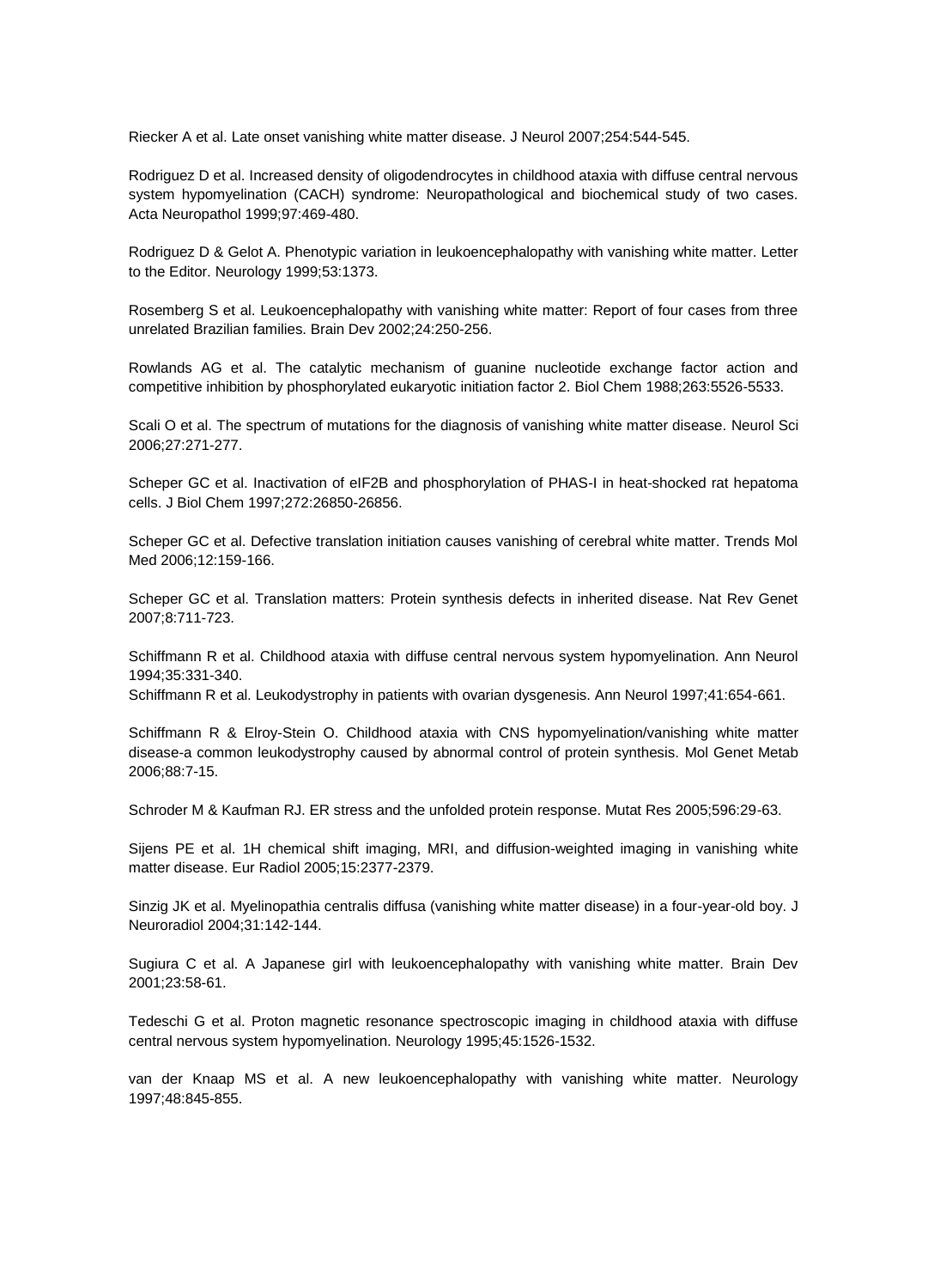Riecker A et al. Late onset vanishing white matter disease. J Neurol 2007;254:544-545.

Rodriguez D et al. Increased density of oligodendrocytes in childhood ataxia with diffuse central nervous system hypomyelination (CACH) syndrome: Neuropathological and biochemical study of two cases. Acta Neuropathol 1999;97:469-480.

Rodriguez D & Gelot A. Phenotypic variation in leukoencephalopathy with vanishing white matter. Letter to the Editor. Neurology 1999;53:1373.

Rosemberg S et al. Leukoencephalopathy with vanishing white matter: Report of four cases from three unrelated Brazilian families. Brain Dev 2002;24:250-256.

Rowlands AG et al. The catalytic mechanism of guanine nucleotide exchange factor action and competitive inhibition by phosphorylated eukaryotic initiation factor 2. Biol Chem 1988;263:5526-5533.

Scali O et al. The spectrum of mutations for the diagnosis of vanishing white matter disease. Neurol Sci 2006;27:271-277.

Scheper GC et al. Inactivation of eIF2B and phosphorylation of PHAS-I in heat-shocked rat hepatoma cells. J Biol Chem 1997;272:26850-26856.

Scheper GC et al. Defective translation initiation causes vanishing of cerebral white matter. Trends Mol Med 2006;12:159-166.

Scheper GC et al. Translation matters: Protein synthesis defects in inherited disease. Nat Rev Genet 2007;8:711-723.

Schiffmann R et al. Childhood ataxia with diffuse central nervous system hypomyelination. Ann Neurol 1994;35:331-340.

Schiffmann R et al. Leukodystrophy in patients with ovarian dysgenesis. Ann Neurol 1997;41:654-661.

Schiffmann R & Elroy-Stein O. Childhood ataxia with CNS hypomyelination/vanishing white matter disease-a common leukodystrophy caused by abnormal control of protein synthesis. Mol Genet Metab 2006;88:7-15.

Schroder M & Kaufman RJ. ER stress and the unfolded protein response. Mutat Res 2005;596:29-63.

Sijens PE et al. 1H chemical shift imaging, MRI, and diffusion-weighted imaging in vanishing white matter disease. Eur Radiol 2005;15:2377-2379.

Sinzig JK et al. Myelinopathia centralis diffusa (vanishing white matter disease) in a four-year-old boy. J Neuroradiol 2004;31:142-144.

Sugiura C et al. A Japanese girl with leukoencephalopathy with vanishing white matter. Brain Dev 2001;23:58-61.

Tedeschi G et al. Proton magnetic resonance spectroscopic imaging in childhood ataxia with diffuse central nervous system hypomyelination. Neurology 1995;45:1526-1532.

van der Knaap MS et al. A new leukoencephalopathy with vanishing white matter. Neurology 1997;48:845-855.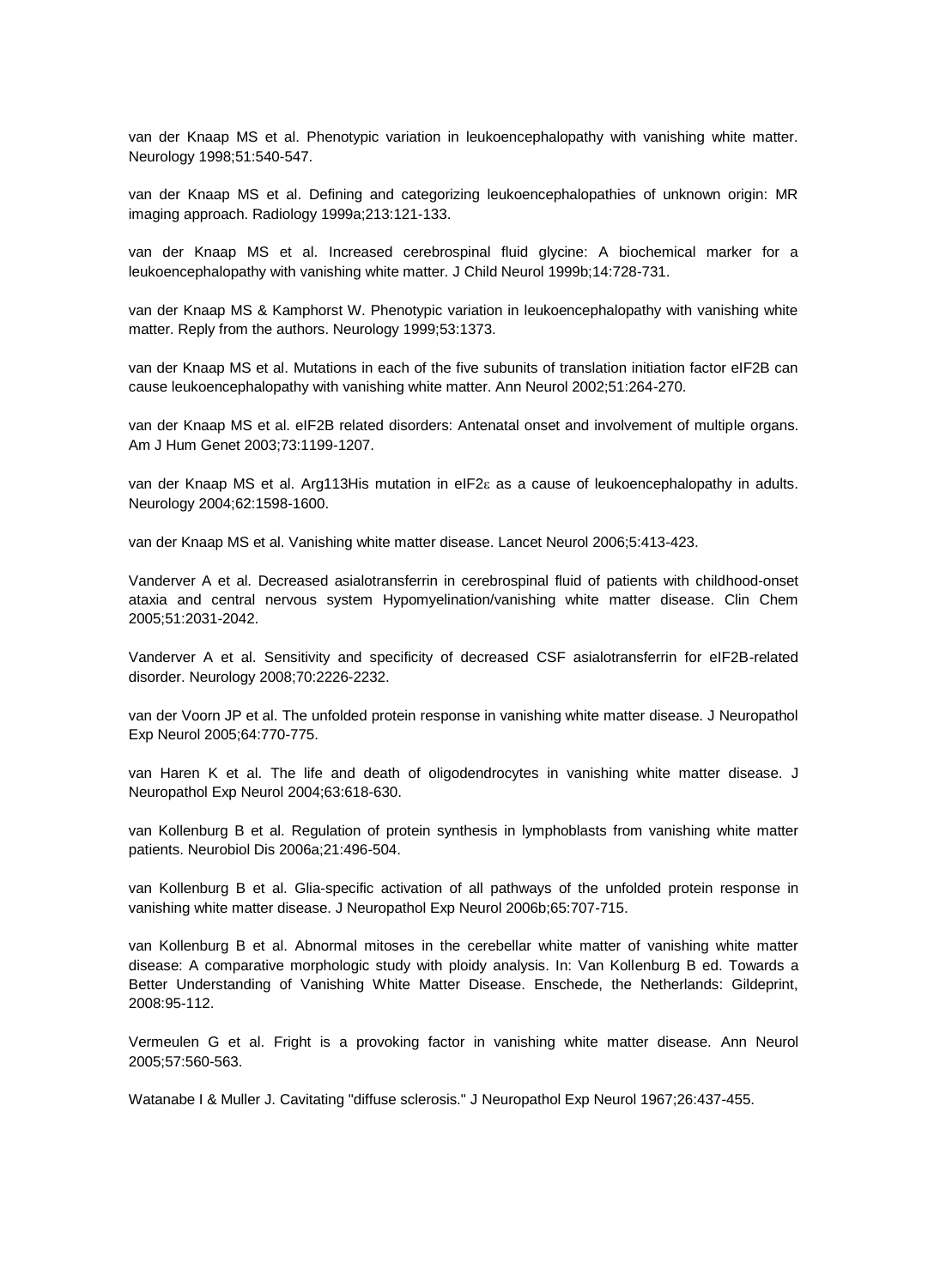van der Knaap MS et al. Phenotypic variation in leukoencephalopathy with vanishing white matter. Neurology 1998;51:540-547.

van der Knaap MS et al. Defining and categorizing leukoencephalopathies of unknown origin: MR imaging approach. Radiology 1999a;213:121-133.

van der Knaap MS et al. Increased cerebrospinal fluid glycine: A biochemical marker for a leukoencephalopathy with vanishing white matter. J Child Neurol 1999b;14:728-731.

van der Knaap MS & Kamphorst W. Phenotypic variation in leukoencephalopathy with vanishing white matter. Reply from the authors. Neurology 1999;53:1373.

van der Knaap MS et al. Mutations in each of the five subunits of translation initiation factor eIF2B can cause leukoencephalopathy with vanishing white matter. Ann Neurol 2002;51:264-270.

van der Knaap MS et al. eIF2B related disorders: Antenatal onset and involvement of multiple organs. Am J Hum Genet 2003;73:1199-1207.

van der Knaap MS et al. Arg113His mutation in eIF2<sup>e</sup> as a cause of leukoencephalopathy in adults. Neurology 2004;62:1598-1600.

van der Knaap MS et al. Vanishing white matter disease. Lancet Neurol 2006;5:413-423.

Vanderver A et al. Decreased asialotransferrin in cerebrospinal fluid of patients with childhood-onset ataxia and central nervous system Hypomyelination/vanishing white matter disease. Clin Chem 2005;51:2031-2042.

Vanderver A et al. Sensitivity and specificity of decreased CSF asialotransferrin for eIF2B-related disorder. Neurology 2008;70:2226-2232.

van der Voorn JP et al. The unfolded protein response in vanishing white matter disease. J Neuropathol Exp Neurol 2005;64:770-775.

van Haren K et al. The life and death of oligodendrocytes in vanishing white matter disease. J Neuropathol Exp Neurol 2004;63:618-630.

van Kollenburg B et al. Regulation of protein synthesis in lymphoblasts from vanishing white matter patients. Neurobiol Dis 2006a;21:496-504.

van Kollenburg B et al. Glia-specific activation of all pathways of the unfolded protein response in vanishing white matter disease. J Neuropathol Exp Neurol 2006b;65:707-715.

van Kollenburg B et al. Abnormal mitoses in the cerebellar white matter of vanishing white matter disease: A comparative morphologic study with ploidy analysis. In: Van Kollenburg B ed. Towards a Better Understanding of Vanishing White Matter Disease. Enschede, the Netherlands: Gildeprint, 2008:95-112.

Vermeulen G et al. Fright is a provoking factor in vanishing white matter disease. Ann Neurol 2005;57:560-563.

Watanabe I & Muller J. Cavitating "diffuse sclerosis." J Neuropathol Exp Neurol 1967;26:437-455.